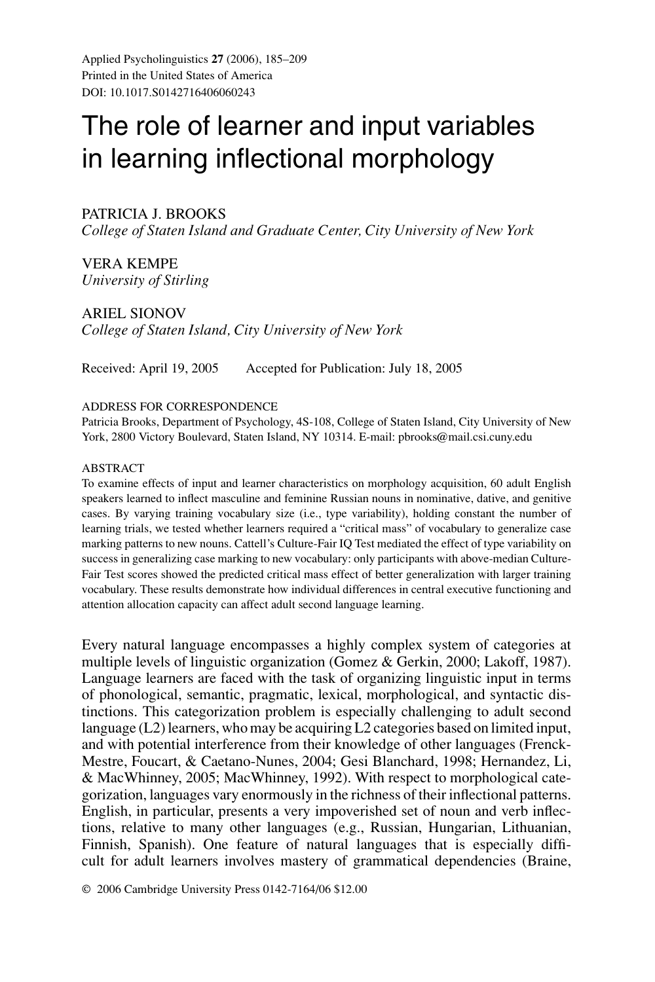Applied Psycholinguistics **27** (2006), 185–209 Printed in the United States of America DOI: 10.1017.S0142716406060243

# The role of learner and input variables in learning inflectional morphology

# PATRICIA J. BROOKS

*College of Staten Island and Graduate Center, City University of New York*

VERA KEMPE *University of Stirling*

ARIEL SIONOV *College of Staten Island, City University of New York*

Received: April 19, 2005 Accepted for Publication: July 18, 2005

#### ADDRESS FOR CORRESPONDENCE

Patricia Brooks, Department of Psychology, 4S-108, College of Staten Island, City University of New York, 2800 Victory Boulevard, Staten Island, NY 10314. E-mail: pbrooks@mail.csi.cuny.edu

#### ABSTRACT

To examine effects of input and learner characteristics on morphology acquisition, 60 adult English speakers learned to inflect masculine and feminine Russian nouns in nominative, dative, and genitive cases. By varying training vocabulary size (i.e., type variability), holding constant the number of learning trials, we tested whether learners required a "critical mass" of vocabulary to generalize case marking patterns to new nouns. Cattell's Culture-Fair IQ Test mediated the effect of type variability on success in generalizing case marking to new vocabulary: only participants with above-median Culture-Fair Test scores showed the predicted critical mass effect of better generalization with larger training vocabulary. These results demonstrate how individual differences in central executive functioning and attention allocation capacity can affect adult second language learning.

Every natural language encompasses a highly complex system of categories at multiple levels of linguistic organization (Gomez & Gerkin, 2000; Lakoff, 1987). Language learners are faced with the task of organizing linguistic input in terms of phonological, semantic, pragmatic, lexical, morphological, and syntactic distinctions. This categorization problem is especially challenging to adult second language (L2) learners, who may be acquiring L2 categories based on limited input, and with potential interference from their knowledge of other languages (Frenck-Mestre, Foucart, & Caetano-Nunes, 2004; Gesi Blanchard, 1998; Hernandez, Li, & MacWhinney, 2005; MacWhinney, 1992). With respect to morphological categorization, languages vary enormously in the richness of their inflectional patterns. English, in particular, presents a very impoverished set of noun and verb inflections, relative to many other languages (e.g., Russian, Hungarian, Lithuanian, Finnish, Spanish). One feature of natural languages that is especially difficult for adult learners involves mastery of grammatical dependencies (Braine,

© 2006 Cambridge University Press 0142-7164/06 \$12.00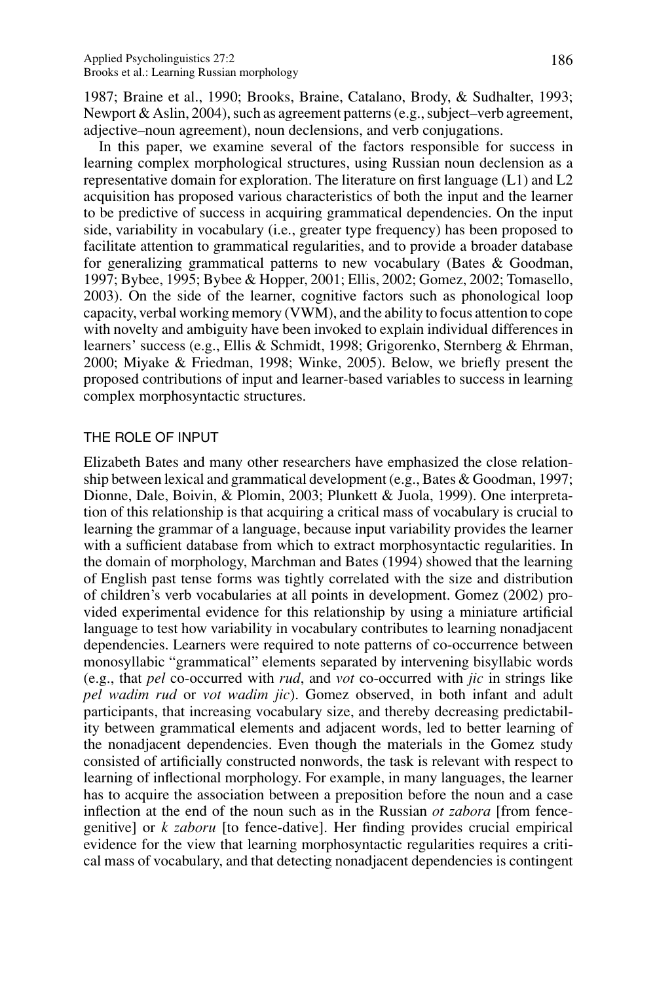1987; Braine et al., 1990; Brooks, Braine, Catalano, Brody, & Sudhalter, 1993; Newport & Aslin, 2004), such as agreement patterns (e.g., subject–verb agreement, adjective–noun agreement), noun declensions, and verb conjugations.

In this paper, we examine several of the factors responsible for success in learning complex morphological structures, using Russian noun declension as a representative domain for exploration. The literature on first language (L1) and L2 acquisition has proposed various characteristics of both the input and the learner to be predictive of success in acquiring grammatical dependencies. On the input side, variability in vocabulary (i.e., greater type frequency) has been proposed to facilitate attention to grammatical regularities, and to provide a broader database for generalizing grammatical patterns to new vocabulary (Bates & Goodman, 1997; Bybee, 1995; Bybee & Hopper, 2001; Ellis, 2002; Gomez, 2002; Tomasello, 2003). On the side of the learner, cognitive factors such as phonological loop capacity, verbal working memory (VWM), and the ability to focus attention to cope with novelty and ambiguity have been invoked to explain individual differences in learners' success (e.g., Ellis & Schmidt, 1998; Grigorenko, Sternberg & Ehrman, 2000; Miyake & Friedman, 1998; Winke, 2005). Below, we briefly present the proposed contributions of input and learner-based variables to success in learning complex morphosyntactic structures.

# THE ROLE OF INPUT

Elizabeth Bates and many other researchers have emphasized the close relationship between lexical and grammatical development (e.g., Bates & Goodman, 1997; Dionne, Dale, Boivin, & Plomin, 2003; Plunkett & Juola, 1999). One interpretation of this relationship is that acquiring a critical mass of vocabulary is crucial to learning the grammar of a language, because input variability provides the learner with a sufficient database from which to extract morphosyntactic regularities. In the domain of morphology, Marchman and Bates (1994) showed that the learning of English past tense forms was tightly correlated with the size and distribution of children's verb vocabularies at all points in development. Gomez (2002) provided experimental evidence for this relationship by using a miniature artificial language to test how variability in vocabulary contributes to learning nonadjacent dependencies. Learners were required to note patterns of co-occurrence between monosyllabic "grammatical" elements separated by intervening bisyllabic words (e.g., that *pel* co-occurred with *rud*, and *vot* co-occurred with *jic* in strings like *pel wadim rud* or *vot wadim jic*). Gomez observed, in both infant and adult participants, that increasing vocabulary size, and thereby decreasing predictability between grammatical elements and adjacent words, led to better learning of the nonadjacent dependencies. Even though the materials in the Gomez study consisted of artificially constructed nonwords, the task is relevant with respect to learning of inflectional morphology. For example, in many languages, the learner has to acquire the association between a preposition before the noun and a case inflection at the end of the noun such as in the Russian *ot zabora* [from fencegenitive] or *k zaboru* [to fence-dative]. Her finding provides crucial empirical evidence for the view that learning morphosyntactic regularities requires a critical mass of vocabulary, and that detecting nonadjacent dependencies is contingent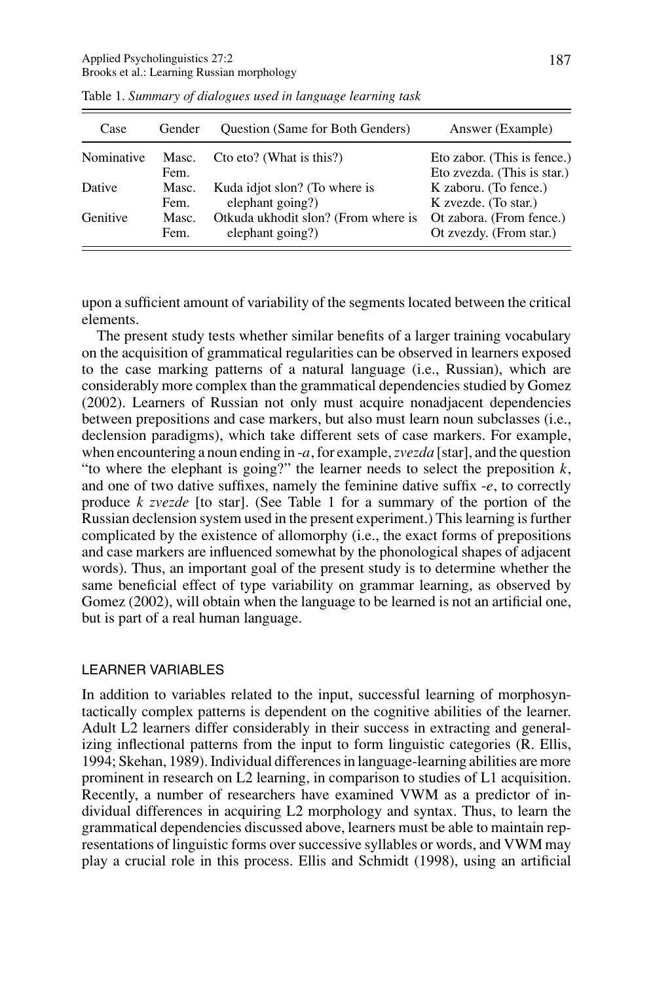| Case       | Gender        | Question (Same for Both Genders)    | Answer (Example)                                           |
|------------|---------------|-------------------------------------|------------------------------------------------------------|
| Nominative | Masc.<br>Fem. | Cto eto? (What is this?)            | Eto zabor. (This is fence.)<br>Eto zvezda. (This is star.) |
| Dative     | Masc.         | Kuda idjot slon? (To where is       | K zaboru. (To fence.)                                      |
|            | Fem.          | elephant going?)                    | K zvezde. (To star.)                                       |
| Genitive   | Masc.         | Otkuda ukhodit slon? (From where is | Ot zabora. (From fence.)                                   |
|            | Fem.          | elephant going?)                    | Ot zvezdy. (From star.)                                    |

Table 1. *Summary of dialogues used in language learning task*

upon a sufficient amount of variability of the segments located between the critical elements.

The present study tests whether similar benefits of a larger training vocabulary on the acquisition of grammatical regularities can be observed in learners exposed to the case marking patterns of a natural language (i.e., Russian), which are considerably more complex than the grammatical dependencies studied by Gomez (2002). Learners of Russian not only must acquire nonadjacent dependencies between prepositions and case markers, but also must learn noun subclasses (i.e., declension paradigms), which take different sets of case markers. For example, when encountering a noun ending in -*a*, for example,*zvezda* [star], and the question "to where the elephant is going?" the learner needs to select the preposition *k*, and one of two dative suffixes, namely the feminine dative suffix -*e*, to correctly produce *k zvezde* [to star]. (See Table 1 for a summary of the portion of the Russian declension system used in the present experiment.) This learning is further complicated by the existence of allomorphy (i.e., the exact forms of prepositions and case markers are influenced somewhat by the phonological shapes of adjacent words). Thus, an important goal of the present study is to determine whether the same beneficial effect of type variability on grammar learning, as observed by Gomez (2002), will obtain when the language to be learned is not an artificial one, but is part of a real human language.

## LEARNER VARIABLES

In addition to variables related to the input, successful learning of morphosyntactically complex patterns is dependent on the cognitive abilities of the learner. Adult L2 learners differ considerably in their success in extracting and generalizing inflectional patterns from the input to form linguistic categories (R. Ellis, 1994; Skehan, 1989). Individual differences in language-learning abilities are more prominent in research on L2 learning, in comparison to studies of L1 acquisition. Recently, a number of researchers have examined VWM as a predictor of individual differences in acquiring L2 morphology and syntax. Thus, to learn the grammatical dependencies discussed above, learners must be able to maintain representations of linguistic forms over successive syllables or words, and VWM may play a crucial role in this process. Ellis and Schmidt (1998), using an artificial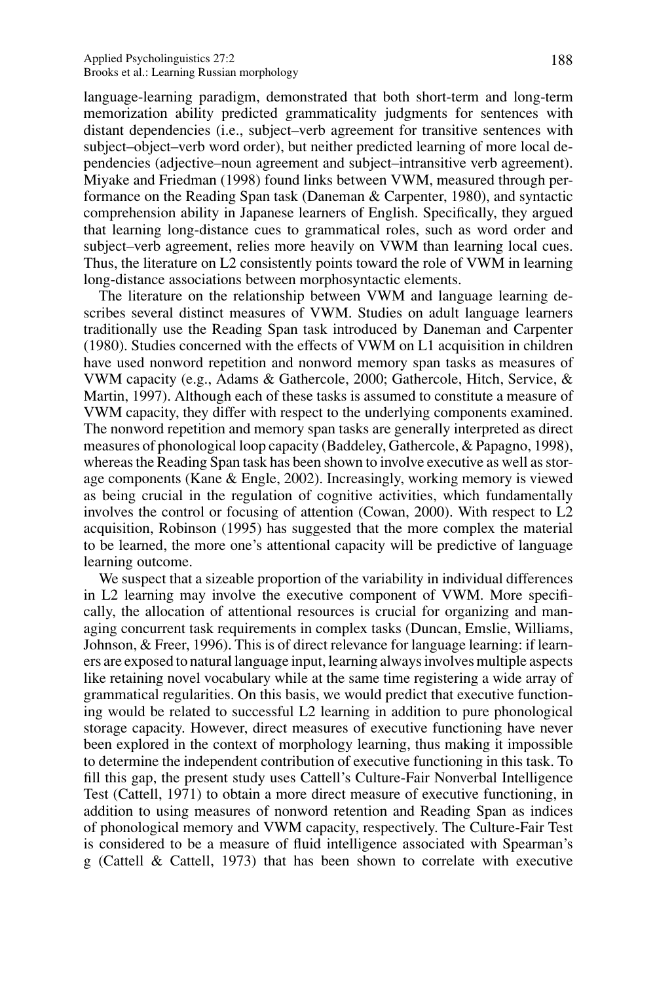language-learning paradigm, demonstrated that both short-term and long-term memorization ability predicted grammaticality judgments for sentences with distant dependencies (i.e., subject–verb agreement for transitive sentences with subject–object–verb word order), but neither predicted learning of more local dependencies (adjective–noun agreement and subject–intransitive verb agreement). Miyake and Friedman (1998) found links between VWM, measured through performance on the Reading Span task (Daneman & Carpenter, 1980), and syntactic comprehension ability in Japanese learners of English. Specifically, they argued that learning long-distance cues to grammatical roles, such as word order and subject–verb agreement, relies more heavily on VWM than learning local cues. Thus, the literature on L2 consistently points toward the role of VWM in learning long-distance associations between morphosyntactic elements.

The literature on the relationship between VWM and language learning describes several distinct measures of VWM. Studies on adult language learners traditionally use the Reading Span task introduced by Daneman and Carpenter (1980). Studies concerned with the effects of VWM on L1 acquisition in children have used nonword repetition and nonword memory span tasks as measures of VWM capacity (e.g., Adams & Gathercole, 2000; Gathercole, Hitch, Service, & Martin, 1997). Although each of these tasks is assumed to constitute a measure of VWM capacity, they differ with respect to the underlying components examined. The nonword repetition and memory span tasks are generally interpreted as direct measures of phonological loop capacity (Baddeley, Gathercole, & Papagno, 1998), whereas the Reading Span task has been shown to involve executive as well as storage components (Kane & Engle, 2002). Increasingly, working memory is viewed as being crucial in the regulation of cognitive activities, which fundamentally involves the control or focusing of attention (Cowan, 2000). With respect to L2 acquisition, Robinson (1995) has suggested that the more complex the material to be learned, the more one's attentional capacity will be predictive of language learning outcome.

We suspect that a sizeable proportion of the variability in individual differences in L2 learning may involve the executive component of VWM. More specifically, the allocation of attentional resources is crucial for organizing and managing concurrent task requirements in complex tasks (Duncan, Emslie, Williams, Johnson, & Freer, 1996). This is of direct relevance for language learning: if learners are exposed to natural language input, learning always involves multiple aspects like retaining novel vocabulary while at the same time registering a wide array of grammatical regularities. On this basis, we would predict that executive functioning would be related to successful L2 learning in addition to pure phonological storage capacity. However, direct measures of executive functioning have never been explored in the context of morphology learning, thus making it impossible to determine the independent contribution of executive functioning in this task. To fill this gap, the present study uses Cattell's Culture-Fair Nonverbal Intelligence Test (Cattell, 1971) to obtain a more direct measure of executive functioning, in addition to using measures of nonword retention and Reading Span as indices of phonological memory and VWM capacity, respectively. The Culture-Fair Test is considered to be a measure of fluid intelligence associated with Spearman's g (Cattell & Cattell, 1973) that has been shown to correlate with executive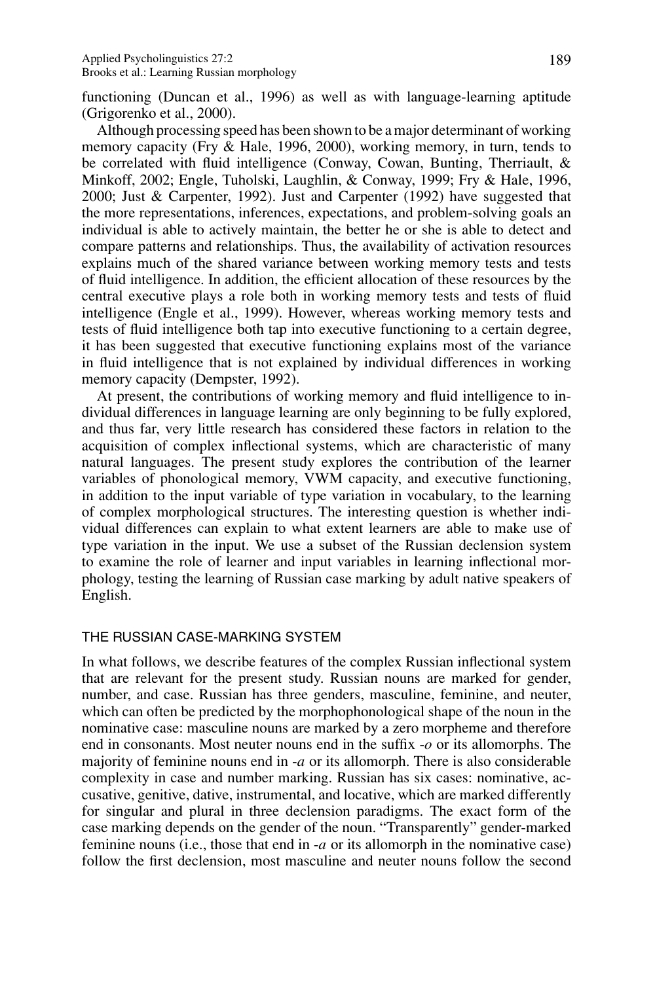functioning (Duncan et al., 1996) as well as with language-learning aptitude (Grigorenko et al., 2000).

Although processing speed has been shown to be a major determinant of working memory capacity (Fry & Hale, 1996, 2000), working memory, in turn, tends to be correlated with fluid intelligence (Conway, Cowan, Bunting, Therriault, & Minkoff, 2002; Engle, Tuholski, Laughlin, & Conway, 1999; Fry & Hale, 1996, 2000; Just & Carpenter, 1992). Just and Carpenter (1992) have suggested that the more representations, inferences, expectations, and problem-solving goals an individual is able to actively maintain, the better he or she is able to detect and compare patterns and relationships. Thus, the availability of activation resources explains much of the shared variance between working memory tests and tests of fluid intelligence. In addition, the efficient allocation of these resources by the central executive plays a role both in working memory tests and tests of fluid intelligence (Engle et al., 1999). However, whereas working memory tests and tests of fluid intelligence both tap into executive functioning to a certain degree, it has been suggested that executive functioning explains most of the variance in fluid intelligence that is not explained by individual differences in working memory capacity (Dempster, 1992).

At present, the contributions of working memory and fluid intelligence to individual differences in language learning are only beginning to be fully explored, and thus far, very little research has considered these factors in relation to the acquisition of complex inflectional systems, which are characteristic of many natural languages. The present study explores the contribution of the learner variables of phonological memory, VWM capacity, and executive functioning, in addition to the input variable of type variation in vocabulary, to the learning of complex morphological structures. The interesting question is whether individual differences can explain to what extent learners are able to make use of type variation in the input. We use a subset of the Russian declension system to examine the role of learner and input variables in learning inflectional morphology, testing the learning of Russian case marking by adult native speakers of English.

## THE RUSSIAN CASE-MARKING SYSTEM

In what follows, we describe features of the complex Russian inflectional system that are relevant for the present study. Russian nouns are marked for gender, number, and case. Russian has three genders, masculine, feminine, and neuter, which can often be predicted by the morphophonological shape of the noun in the nominative case: masculine nouns are marked by a zero morpheme and therefore end in consonants. Most neuter nouns end in the suffix -*o* or its allomorphs. The majority of feminine nouns end in -*a* or its allomorph. There is also considerable complexity in case and number marking. Russian has six cases: nominative, accusative, genitive, dative, instrumental, and locative, which are marked differently for singular and plural in three declension paradigms. The exact form of the case marking depends on the gender of the noun. "Transparently" gender-marked feminine nouns (i.e., those that end in -*a* or its allomorph in the nominative case) follow the first declension, most masculine and neuter nouns follow the second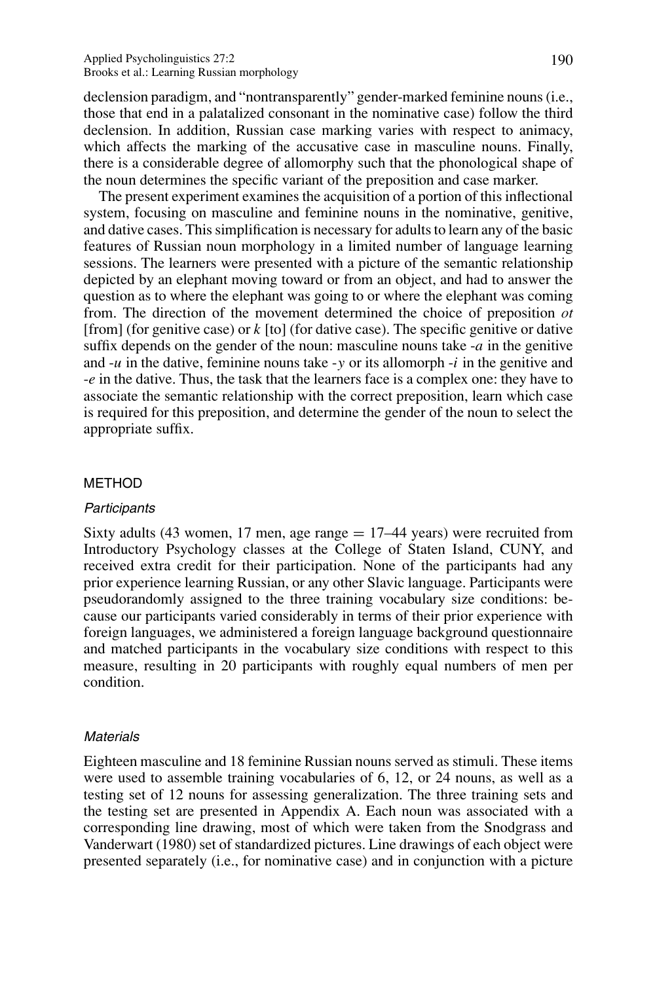declension paradigm, and "nontransparently" gender-marked feminine nouns (i.e., those that end in a palatalized consonant in the nominative case) follow the third declension. In addition, Russian case marking varies with respect to animacy, which affects the marking of the accusative case in masculine nouns. Finally, there is a considerable degree of allomorphy such that the phonological shape of the noun determines the specific variant of the preposition and case marker.

The present experiment examines the acquisition of a portion of this inflectional system, focusing on masculine and feminine nouns in the nominative, genitive, and dative cases. This simplification is necessary for adults to learn any of the basic features of Russian noun morphology in a limited number of language learning sessions. The learners were presented with a picture of the semantic relationship depicted by an elephant moving toward or from an object, and had to answer the question as to where the elephant was going to or where the elephant was coming from. The direction of the movement determined the choice of preposition *ot* [from] (for genitive case) or *k* [to] (for dative case). The specific genitive or dative suffix depends on the gender of the noun: masculine nouns take -*a* in the genitive and -*u* in the dative, feminine nouns take -*y* or its allomorph -*i* in the genitive and -*e* in the dative. Thus, the task that the learners face is a complex one: they have to associate the semantic relationship with the correct preposition, learn which case is required for this preposition, and determine the gender of the noun to select the appropriate suffix.

#### METHOD

#### **Participants**

Sixty adults (43 women, 17 men, age range  $= 17-44$  years) were recruited from Introductory Psychology classes at the College of Staten Island, CUNY, and received extra credit for their participation. None of the participants had any prior experience learning Russian, or any other Slavic language. Participants were pseudorandomly assigned to the three training vocabulary size conditions: because our participants varied considerably in terms of their prior experience with foreign languages, we administered a foreign language background questionnaire and matched participants in the vocabulary size conditions with respect to this measure, resulting in 20 participants with roughly equal numbers of men per condition.

## **Materials**

Eighteen masculine and 18 feminine Russian nouns served as stimuli. These items were used to assemble training vocabularies of 6, 12, or 24 nouns, as well as a testing set of 12 nouns for assessing generalization. The three training sets and the testing set are presented in Appendix A. Each noun was associated with a corresponding line drawing, most of which were taken from the Snodgrass and Vanderwart (1980) set of standardized pictures. Line drawings of each object were presented separately (i.e., for nominative case) and in conjunction with a picture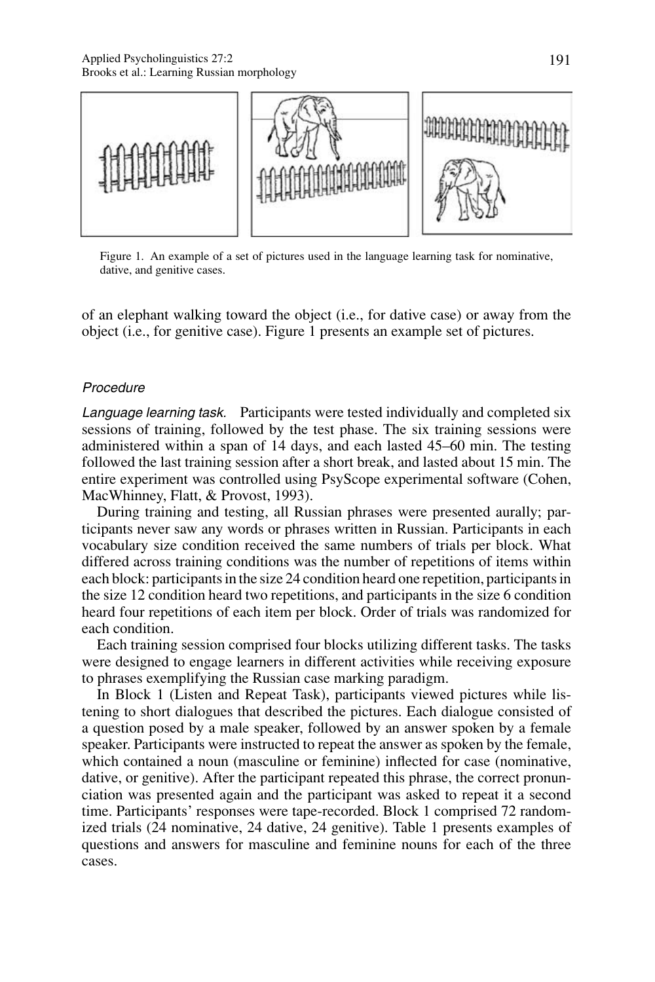

Figure 1. An example of a set of pictures used in the language learning task for nominative, dative, and genitive cases.

of an elephant walking toward the object (i.e., for dative case) or away from the object (i.e., for genitive case). Figure 1 presents an example set of pictures.

# **Procedure**

Language learning task. Participants were tested individually and completed six sessions of training, followed by the test phase. The six training sessions were administered within a span of 14 days, and each lasted 45–60 min. The testing followed the last training session after a short break, and lasted about 15 min. The entire experiment was controlled using PsyScope experimental software (Cohen, MacWhinney, Flatt, & Provost, 1993).

During training and testing, all Russian phrases were presented aurally; participants never saw any words or phrases written in Russian. Participants in each vocabulary size condition received the same numbers of trials per block. What differed across training conditions was the number of repetitions of items within each block: participants in the size 24 condition heard one repetition, participants in the size 12 condition heard two repetitions, and participants in the size 6 condition heard four repetitions of each item per block. Order of trials was randomized for each condition.

Each training session comprised four blocks utilizing different tasks. The tasks were designed to engage learners in different activities while receiving exposure to phrases exemplifying the Russian case marking paradigm.

In Block 1 (Listen and Repeat Task), participants viewed pictures while listening to short dialogues that described the pictures. Each dialogue consisted of a question posed by a male speaker, followed by an answer spoken by a female speaker. Participants were instructed to repeat the answer as spoken by the female, which contained a noun (masculine or feminine) inflected for case (nominative, dative, or genitive). After the participant repeated this phrase, the correct pronunciation was presented again and the participant was asked to repeat it a second time. Participants' responses were tape-recorded. Block 1 comprised 72 randomized trials (24 nominative, 24 dative, 24 genitive). Table 1 presents examples of questions and answers for masculine and feminine nouns for each of the three cases.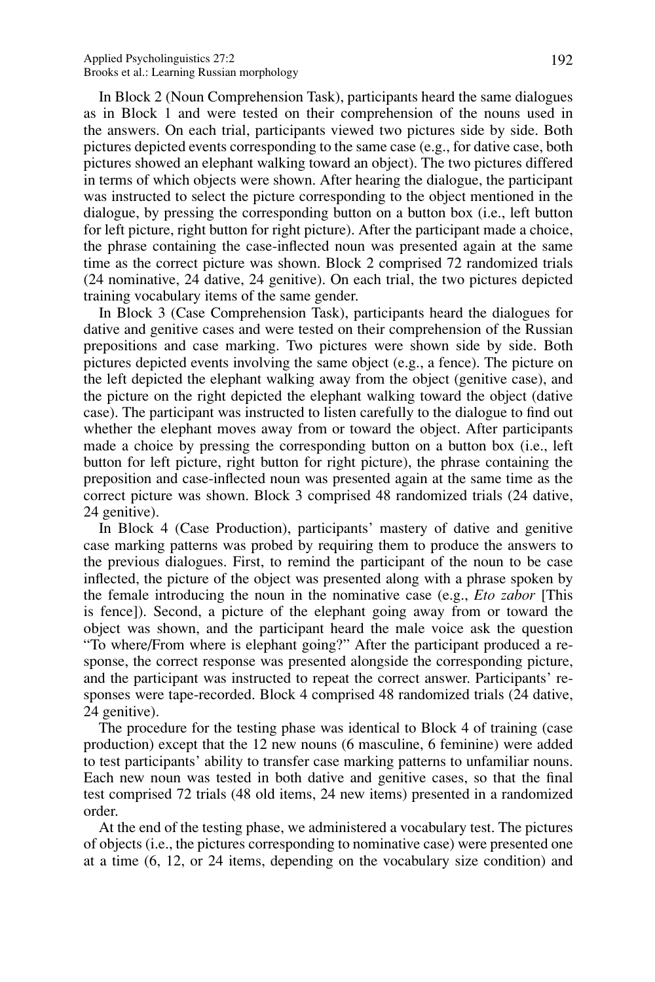In Block 2 (Noun Comprehension Task), participants heard the same dialogues as in Block 1 and were tested on their comprehension of the nouns used in the answers. On each trial, participants viewed two pictures side by side. Both pictures depicted events corresponding to the same case (e.g., for dative case, both pictures showed an elephant walking toward an object). The two pictures differed in terms of which objects were shown. After hearing the dialogue, the participant was instructed to select the picture corresponding to the object mentioned in the dialogue, by pressing the corresponding button on a button box (i.e., left button for left picture, right button for right picture). After the participant made a choice, the phrase containing the case-inflected noun was presented again at the same time as the correct picture was shown. Block 2 comprised 72 randomized trials (24 nominative, 24 dative, 24 genitive). On each trial, the two pictures depicted training vocabulary items of the same gender.

In Block 3 (Case Comprehension Task), participants heard the dialogues for dative and genitive cases and were tested on their comprehension of the Russian prepositions and case marking. Two pictures were shown side by side. Both pictures depicted events involving the same object (e.g., a fence). The picture on the left depicted the elephant walking away from the object (genitive case), and the picture on the right depicted the elephant walking toward the object (dative case). The participant was instructed to listen carefully to the dialogue to find out whether the elephant moves away from or toward the object. After participants made a choice by pressing the corresponding button on a button box (i.e., left button for left picture, right button for right picture), the phrase containing the preposition and case-inflected noun was presented again at the same time as the correct picture was shown. Block 3 comprised 48 randomized trials (24 dative, 24 genitive).

In Block 4 (Case Production), participants' mastery of dative and genitive case marking patterns was probed by requiring them to produce the answers to the previous dialogues. First, to remind the participant of the noun to be case inflected, the picture of the object was presented along with a phrase spoken by the female introducing the noun in the nominative case (e.g., *Eto zabor* [This is fence]). Second, a picture of the elephant going away from or toward the object was shown, and the participant heard the male voice ask the question "To where/From where is elephant going?" After the participant produced a response, the correct response was presented alongside the corresponding picture, and the participant was instructed to repeat the correct answer. Participants' responses were tape-recorded. Block 4 comprised 48 randomized trials (24 dative, 24 genitive).

The procedure for the testing phase was identical to Block 4 of training (case production) except that the 12 new nouns (6 masculine, 6 feminine) were added to test participants' ability to transfer case marking patterns to unfamiliar nouns. Each new noun was tested in both dative and genitive cases, so that the final test comprised 72 trials (48 old items, 24 new items) presented in a randomized order.

At the end of the testing phase, we administered a vocabulary test. The pictures of objects (i.e., the pictures corresponding to nominative case) were presented one at a time (6, 12, or 24 items, depending on the vocabulary size condition) and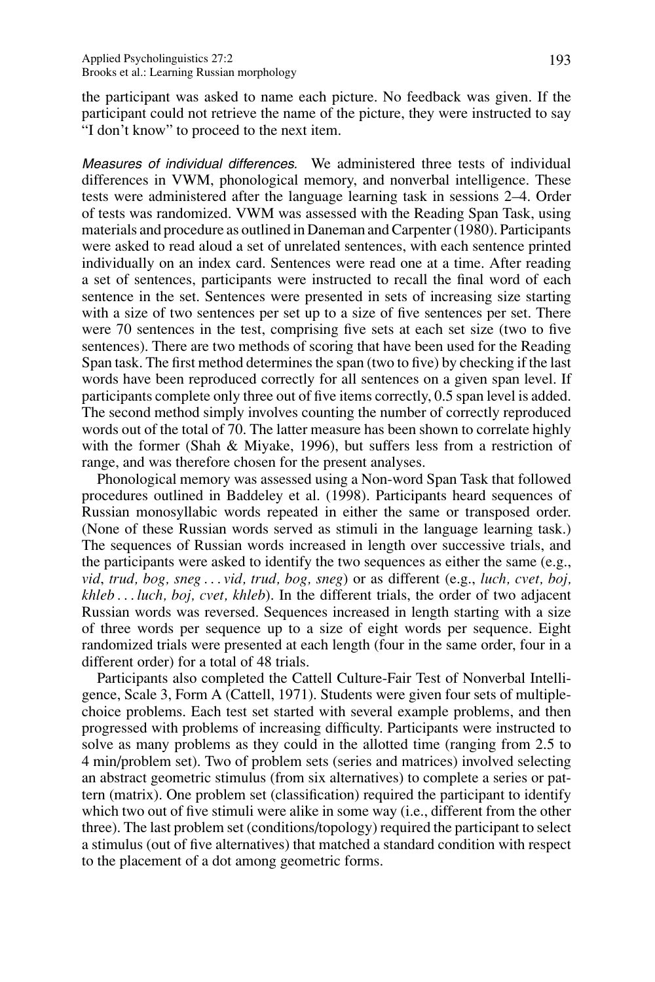the participant was asked to name each picture. No feedback was given. If the participant could not retrieve the name of the picture, they were instructed to say "I don't know" to proceed to the next item.

Measures of individual differences. We administered three tests of individual differences in VWM, phonological memory, and nonverbal intelligence. These tests were administered after the language learning task in sessions 2–4. Order of tests was randomized. VWM was assessed with the Reading Span Task, using materials and procedure as outlined in Daneman and Carpenter (1980). Participants were asked to read aloud a set of unrelated sentences, with each sentence printed individually on an index card. Sentences were read one at a time. After reading a set of sentences, participants were instructed to recall the final word of each sentence in the set. Sentences were presented in sets of increasing size starting with a size of two sentences per set up to a size of five sentences per set. There were 70 sentences in the test, comprising five sets at each set size (two to five sentences). There are two methods of scoring that have been used for the Reading Span task. The first method determines the span (two to five) by checking if the last words have been reproduced correctly for all sentences on a given span level. If participants complete only three out of five items correctly, 0.5 span level is added. The second method simply involves counting the number of correctly reproduced words out of the total of 70. The latter measure has been shown to correlate highly with the former (Shah & Miyake, 1996), but suffers less from a restriction of range, and was therefore chosen for the present analyses.

Phonological memory was assessed using a Non-word Span Task that followed procedures outlined in Baddeley et al. (1998). Participants heard sequences of Russian monosyllabic words repeated in either the same or transposed order. (None of these Russian words served as stimuli in the language learning task.) The sequences of Russian words increased in length over successive trials, and the participants were asked to identify the two sequences as either the same (e.g., *vid*, *trud, bog, sneg ... vid, trud, bog, sneg*) or as different (e.g., *luch, cvet, boj, khleb ... luch, boj, cvet, khleb*). In the different trials, the order of two adjacent Russian words was reversed. Sequences increased in length starting with a size of three words per sequence up to a size of eight words per sequence. Eight randomized trials were presented at each length (four in the same order, four in a different order) for a total of 48 trials.

Participants also completed the Cattell Culture-Fair Test of Nonverbal Intelligence, Scale 3, Form A (Cattell, 1971). Students were given four sets of multiplechoice problems. Each test set started with several example problems, and then progressed with problems of increasing difficulty. Participants were instructed to solve as many problems as they could in the allotted time (ranging from 2.5 to 4 min/problem set). Two of problem sets (series and matrices) involved selecting an abstract geometric stimulus (from six alternatives) to complete a series or pattern (matrix). One problem set (classification) required the participant to identify which two out of five stimuli were alike in some way (i.e., different from the other three). The last problem set (conditions/topology) required the participant to select a stimulus (out of five alternatives) that matched a standard condition with respect to the placement of a dot among geometric forms.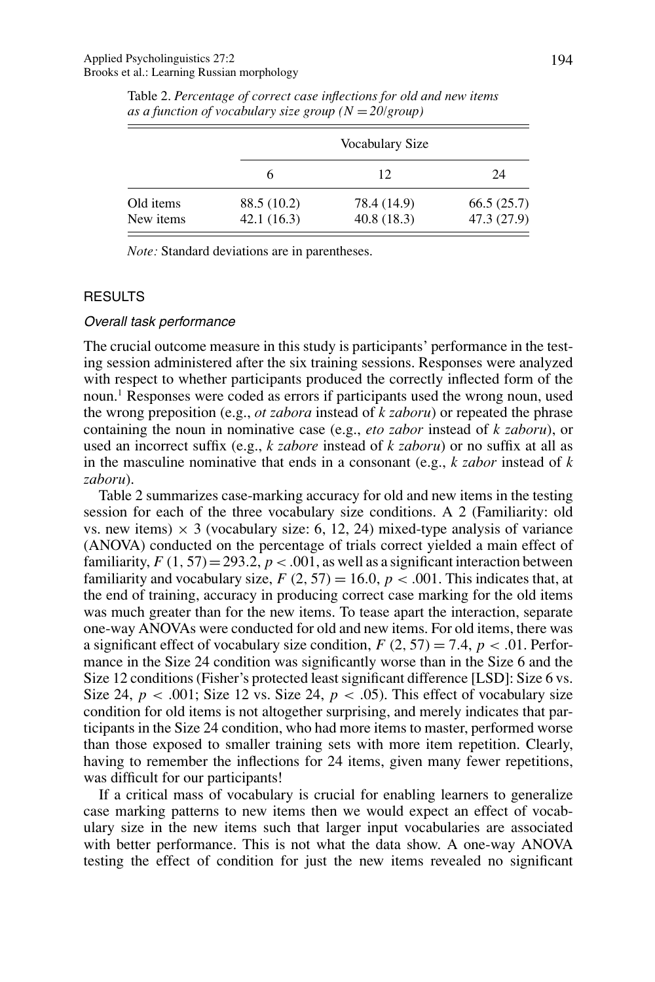|                        |                           | Vocabulary Size           |                           |  |
|------------------------|---------------------------|---------------------------|---------------------------|--|
|                        | h                         | 12                        | 24                        |  |
| Old items<br>New items | 88.5 (10.2)<br>42.1(16.3) | 78.4 (14.9)<br>40.8(18.3) | 66.5(25.7)<br>47.3 (27.9) |  |

Table 2. *Percentage of correct case inflections for old and new items as a function of vocabulary size group (N* = *20/group)*

*Note:* Standard deviations are in parentheses.

## RESULTS

#### Overall task performance

The crucial outcome measure in this study is participants' performance in the testing session administered after the six training sessions. Responses were analyzed with respect to whether participants produced the correctly inflected form of the noun.1 Responses were coded as errors if participants used the wrong noun, used the wrong preposition (e.g., *ot zabora* instead of *k zaboru*) or repeated the phrase containing the noun in nominative case (e.g., *eto zabor* instead of *k zaboru*), or used an incorrect suffix (e.g., *k zabore* instead of *k zaboru*) or no suffix at all as in the masculine nominative that ends in a consonant (e.g., *k zabor* instead of *k zaboru*).

Table 2 summarizes case-marking accuracy for old and new items in the testing session for each of the three vocabulary size conditions. A 2 (Familiarity: old vs. new items)  $\times$  3 (vocabulary size: 6, 12, 24) mixed-type analysis of variance (ANOVA) conducted on the percentage of trials correct yielded a main effect of familiarity,  $F(1, 57) = 293.2$ ,  $p < .001$ , as well as a significant interaction between familiarity and vocabulary size,  $F(2, 57) = 16.0, p < .001$ . This indicates that, at the end of training, accuracy in producing correct case marking for the old items was much greater than for the new items. To tease apart the interaction, separate one-way ANOVAs were conducted for old and new items. For old items, there was a significant effect of vocabulary size condition,  $F(2, 57) = 7.4$ ,  $p < .01$ . Performance in the Size 24 condition was significantly worse than in the Size 6 and the Size 12 conditions (Fisher's protected least significant difference [LSD]: Size 6 vs. Size 24,  $p < .001$ ; Size 12 vs. Size 24,  $p < .05$ ). This effect of vocabulary size condition for old items is not altogether surprising, and merely indicates that participants in the Size 24 condition, who had more items to master, performed worse than those exposed to smaller training sets with more item repetition. Clearly, having to remember the inflections for 24 items, given many fewer repetitions, was difficult for our participants!

If a critical mass of vocabulary is crucial for enabling learners to generalize case marking patterns to new items then we would expect an effect of vocabulary size in the new items such that larger input vocabularies are associated with better performance. This is not what the data show. A one-way ANOVA testing the effect of condition for just the new items revealed no significant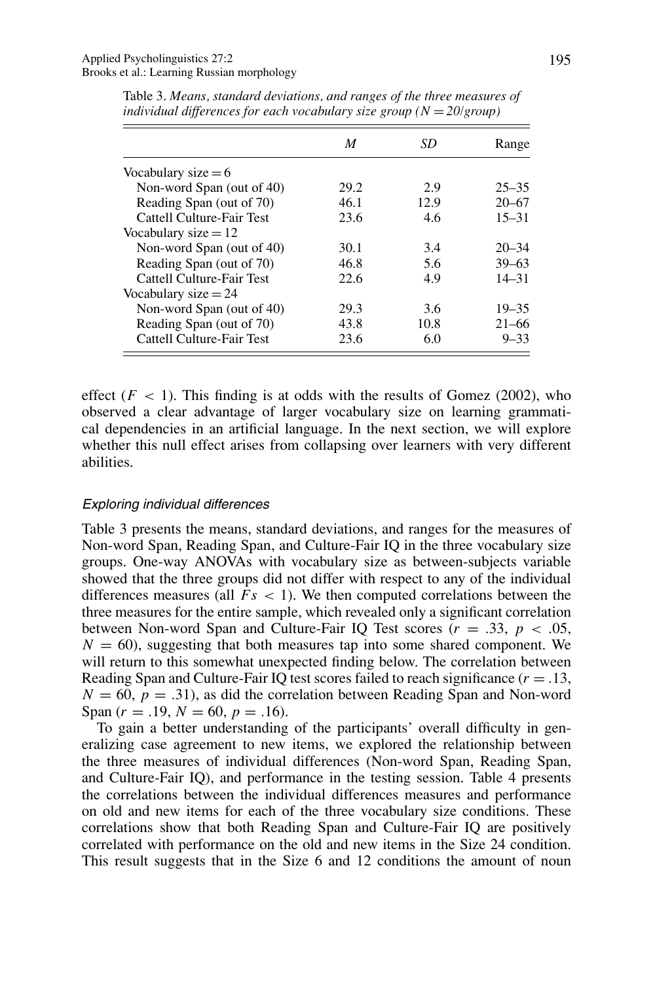|                           | M    | SD   | Range     |
|---------------------------|------|------|-----------|
| Vocabulary size $= 6$     |      |      |           |
| Non-word Span (out of 40) | 29.2 | 2.9  | $25 - 35$ |
| Reading Span (out of 70)  | 46.1 | 12.9 | $20 - 67$ |
| Cattell Culture-Fair Test | 23.6 | 4.6  | $15 - 31$ |
| Vocabulary size $= 12$    |      |      |           |
| Non-word Span (out of 40) | 30.1 | 3.4  | $20 - 34$ |
| Reading Span (out of 70)  | 46.8 | 5.6  | $39 - 63$ |
| Cattell Culture-Fair Test | 22.6 | 4.9  | $14 - 31$ |
| Vocabulary size $= 24$    |      |      |           |
| Non-word Span (out of 40) | 29.3 | 3.6  | $19 - 35$ |
| Reading Span (out of 70)  | 43.8 | 10.8 | $21 - 66$ |
| Cattell Culture-Fair Test | 23.6 | 6.0  | $9 - 33$  |

Table 3. *Means, standard deviations, and ranges of the three measures of individual differences for each vocabulary size group (N* = *20/group)*

effect  $(F < 1)$ . This finding is at odds with the results of Gomez (2002), who observed a clear advantage of larger vocabulary size on learning grammatical dependencies in an artificial language. In the next section, we will explore whether this null effect arises from collapsing over learners with very different abilities.

## Exploring individual differences

Table 3 presents the means, standard deviations, and ranges for the measures of Non-word Span, Reading Span, and Culture-Fair IQ in the three vocabulary size groups. One-way ANOVAs with vocabulary size as between-subjects variable showed that the three groups did not differ with respect to any of the individual differences measures (all *Fs <* 1). We then computed correlations between the three measures for the entire sample, which revealed only a significant correlation between Non-word Span and Culture-Fair IQ Test scores  $(r = .33, p < .05,$  $N = 60$ , suggesting that both measures tap into some shared component. We will return to this somewhat unexpected finding below. The correlation between Reading Span and Culture-Fair IQ test scores failed to reach significance (*r* = *.*13,  $N = 60$ ,  $p = .31$ , as did the correlation between Reading Span and Non-word Span  $(r = .19, N = 60, p = .16)$ .

To gain a better understanding of the participants' overall difficulty in generalizing case agreement to new items, we explored the relationship between the three measures of individual differences (Non-word Span, Reading Span, and Culture-Fair IQ), and performance in the testing session. Table 4 presents the correlations between the individual differences measures and performance on old and new items for each of the three vocabulary size conditions. These correlations show that both Reading Span and Culture-Fair IQ are positively correlated with performance on the old and new items in the Size 24 condition. This result suggests that in the Size 6 and 12 conditions the amount of noun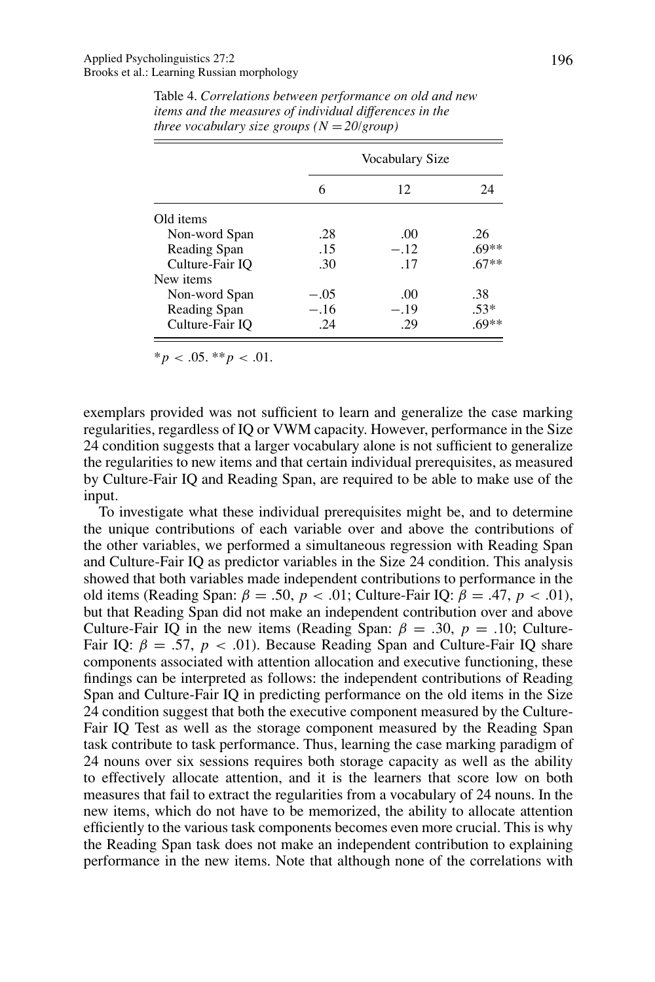|                 | Vocabulary Size |        |         |
|-----------------|-----------------|--------|---------|
|                 | 6               | 12     | 24      |
| Old items       |                 |        |         |
| Non-word Span   | .28             | .00    | .26     |
| Reading Span    | .15             | $-.12$ | .69**   |
| Culture-Fair IO | .30             | .17    | $.67**$ |
| New items       |                 |        |         |
| Non-word Span   | $-.05$          | .00    | .38     |
| Reading Span    | $-.16$          | $-.19$ | $.53*$  |
| Culture-Fair IO | .24             | .29    | $.69**$ |

Table 4. *Correlations between performance on old and new items and the measures of individual differences in the three vocabulary size groups*  $(N = 20/\text{group})$ 

$$
*p < .05. **p < .01.
$$

exemplars provided was not sufficient to learn and generalize the case marking regularities, regardless of IQ or VWM capacity. However, performance in the Size 24 condition suggests that a larger vocabulary alone is not sufficient to generalize the regularities to new items and that certain individual prerequisites, as measured by Culture-Fair IQ and Reading Span, are required to be able to make use of the input.

To investigate what these individual prerequisites might be, and to determine the unique contributions of each variable over and above the contributions of the other variables, we performed a simultaneous regression with Reading Span and Culture-Fair IQ as predictor variables in the Size 24 condition. This analysis showed that both variables made independent contributions to performance in the old items (Reading Span: *β* = *.*50, *p<.*01; Culture-Fair IQ: *β* = *.*47, *p<.*01), but that Reading Span did not make an independent contribution over and above Culture-Fair IQ in the new items (Reading Span:  $\beta = .30$ ,  $p = .10$ ; Culture-Fair IQ:  $\beta = .57$ ,  $p < .01$ ). Because Reading Span and Culture-Fair IQ share components associated with attention allocation and executive functioning, these findings can be interpreted as follows: the independent contributions of Reading Span and Culture-Fair IQ in predicting performance on the old items in the Size 24 condition suggest that both the executive component measured by the Culture-Fair IQ Test as well as the storage component measured by the Reading Span task contribute to task performance. Thus, learning the case marking paradigm of 24 nouns over six sessions requires both storage capacity as well as the ability to effectively allocate attention, and it is the learners that score low on both measures that fail to extract the regularities from a vocabulary of 24 nouns. In the new items, which do not have to be memorized, the ability to allocate attention efficiently to the various task components becomes even more crucial. This is why the Reading Span task does not make an independent contribution to explaining performance in the new items. Note that although none of the correlations with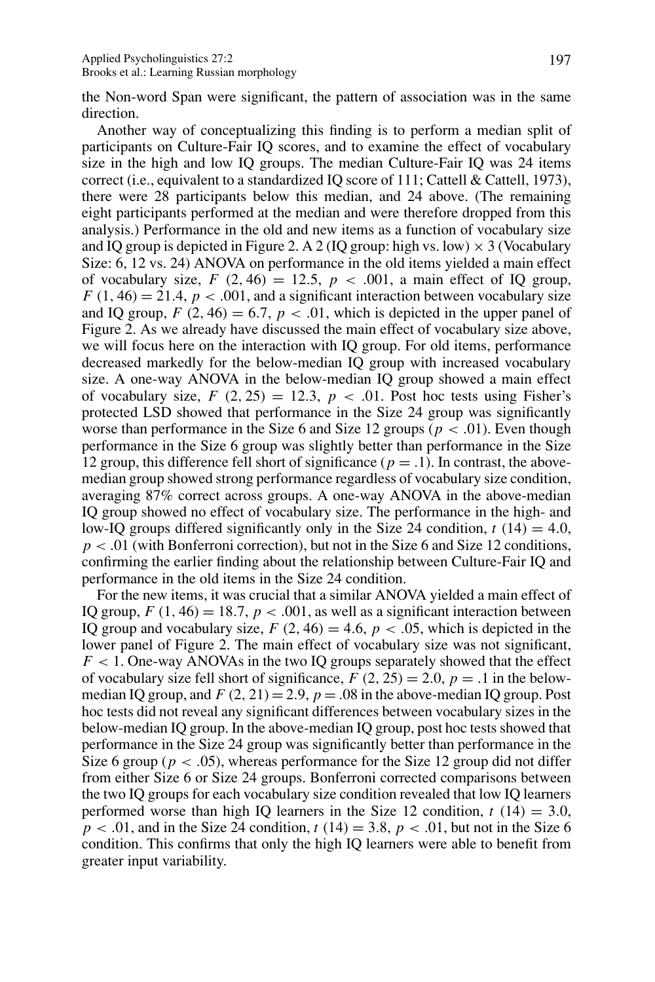the Non-word Span were significant, the pattern of association was in the same direction.

Another way of conceptualizing this finding is to perform a median split of participants on Culture-Fair IQ scores, and to examine the effect of vocabulary size in the high and low IQ groups. The median Culture-Fair IQ was 24 items correct (i.e., equivalent to a standardized IQ score of 111; Cattell & Cattell, 1973), there were 28 participants below this median, and 24 above. (The remaining eight participants performed at the median and were therefore dropped from this analysis.) Performance in the old and new items as a function of vocabulary size and IQ group is depicted in Figure 2. A 2 (IQ group: high vs. low)  $\times$  3 (Vocabulary Size: 6, 12 vs. 24) ANOVA on performance in the old items yielded a main effect of vocabulary size,  $F(2, 46) = 12.5$ ,  $p < .001$ , a main effect of IQ group,  $F(1, 46) = 21.4$ ,  $p < .001$ , and a significant interaction between vocabulary size and IQ group,  $F(2, 46) = 6.7$ ,  $p < .01$ , which is depicted in the upper panel of Figure 2. As we already have discussed the main effect of vocabulary size above, we will focus here on the interaction with IQ group. For old items, performance decreased markedly for the below-median IQ group with increased vocabulary size. A one-way ANOVA in the below-median IQ group showed a main effect of vocabulary size,  $F(2, 25) = 12.3$ ,  $p < .01$ . Post hoc tests using Fisher's protected LSD showed that performance in the Size 24 group was significantly worse than performance in the Size 6 and Size 12 groups ( $p < .01$ ). Even though performance in the Size 6 group was slightly better than performance in the Size 12 group, this difference fell short of significance ( $p = .1$ ). In contrast, the abovemedian group showed strong performance regardless of vocabulary size condition, averaging 87% correct across groups. A one-way ANOVA in the above-median IQ group showed no effect of vocabulary size. The performance in the high- and low-IQ groups differed significantly only in the Size 24 condition,  $t(14) = 4.0$ ,  $p < .01$  (with Bonferroni correction), but not in the Size 6 and Size 12 conditions, confirming the earlier finding about the relationship between Culture-Fair IQ and performance in the old items in the Size 24 condition.

For the new items, it was crucial that a similar ANOVA yielded a main effect of IQ group,  $F(1, 46) = 18.7$ ,  $p < .001$ , as well as a significant interaction between IQ group and vocabulary size,  $F(2, 46) = 4.6$ ,  $p < .05$ , which is depicted in the lower panel of Figure 2. The main effect of vocabulary size was not significant, *F <* 1. One-way ANOVAs in the two IQ groups separately showed that the effect of vocabulary size fell short of significance,  $F(2, 25) = 2.0$ ,  $p = .1$  in the belowmedian IQ group, and  $F(2, 21) = 2.9$ ,  $p = .08$  in the above-median IQ group. Post hoc tests did not reveal any significant differences between vocabulary sizes in the below-median IQ group. In the above-median IQ group, post hoc tests showed that performance in the Size 24 group was significantly better than performance in the Size 6 group ( $p < .05$ ), whereas performance for the Size 12 group did not differ from either Size 6 or Size 24 groups. Bonferroni corrected comparisons between the two IQ groups for each vocabulary size condition revealed that low IQ learners performed worse than high IQ learners in the Size 12 condition,  $t(14) = 3.0$ ,  $p < .01$ , and in the Size 24 condition,  $t(14) = 3.8$ ,  $p < .01$ , but not in the Size 6 condition. This confirms that only the high IQ learners were able to benefit from greater input variability.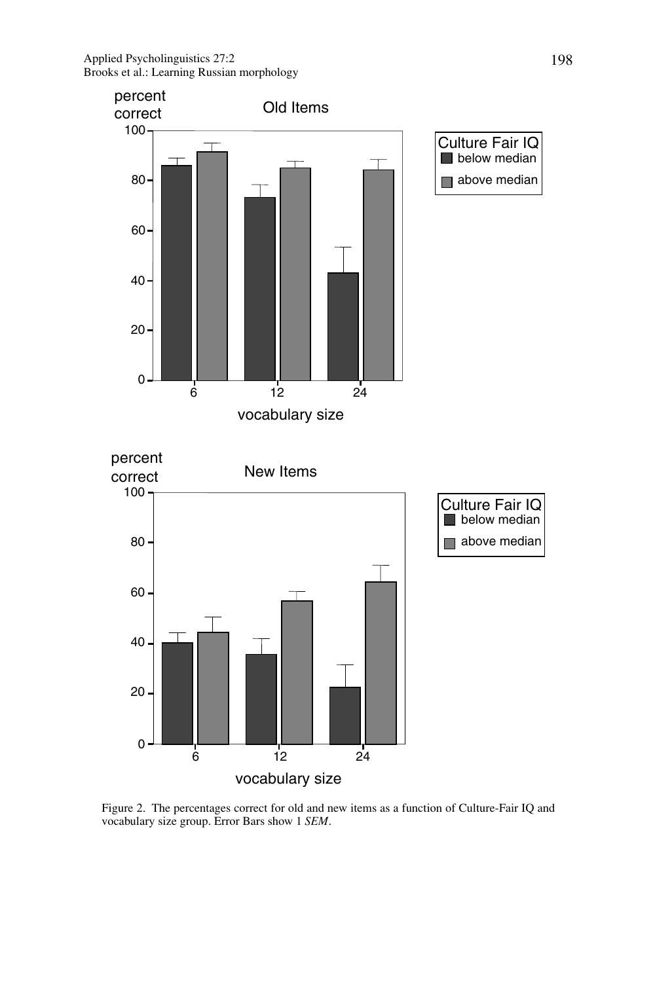

Figure 2. The percentages correct for old and new items as a function of Culture-Fair IQ and vocabulary size group. Error Bars show 1 *SEM*.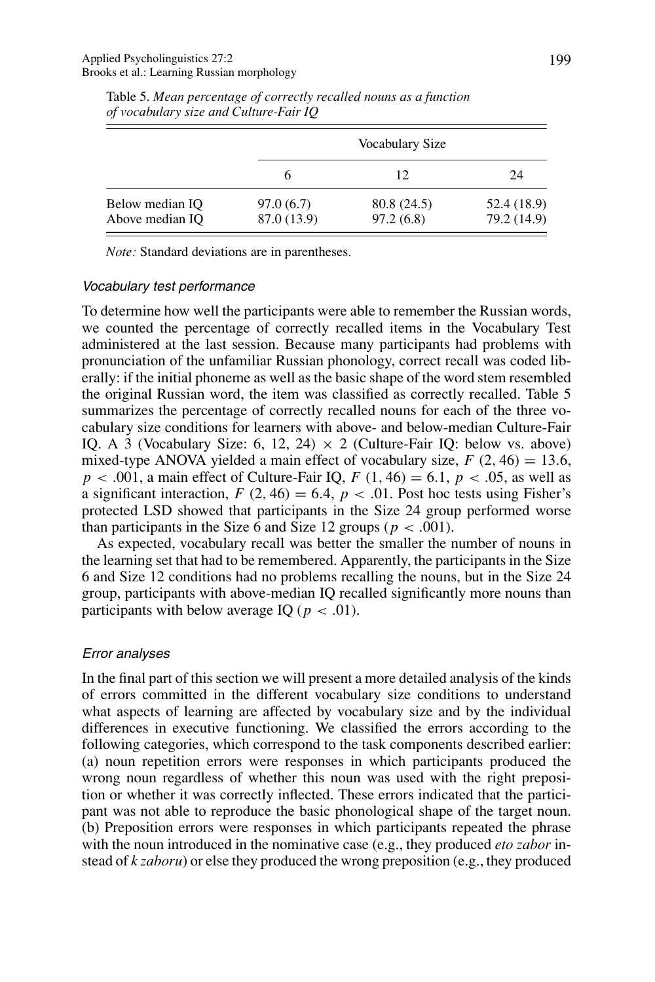|                                    |                          | Vocabulary Size          |                            |  |
|------------------------------------|--------------------------|--------------------------|----------------------------|--|
|                                    |                          | 12                       | 24                         |  |
| Below median IQ<br>Above median IQ | 97.0(6.7)<br>87.0 (13.9) | 80.8 (24.5)<br>97.2(6.8) | 52.4 (18.9)<br>79.2 (14.9) |  |

Table 5. *Mean percentage of correctly recalled nouns as a function of vocabulary size and Culture-Fair IQ*

*Note:* Standard deviations are in parentheses.

#### Vocabulary test performance

To determine how well the participants were able to remember the Russian words, we counted the percentage of correctly recalled items in the Vocabulary Test administered at the last session. Because many participants had problems with pronunciation of the unfamiliar Russian phonology, correct recall was coded liberally: if the initial phoneme as well as the basic shape of the word stem resembled the original Russian word, the item was classified as correctly recalled. Table 5 summarizes the percentage of correctly recalled nouns for each of the three vocabulary size conditions for learners with above- and below-median Culture-Fair IQ. A 3 (Vocabulary Size: 6, 12, 24)  $\times$  2 (Culture-Fair IQ: below vs. above) mixed-type ANOVA yielded a main effect of vocabulary size,  $F(2, 46) = 13.6$ ,  $p < .001$ , a main effect of Culture-Fair IQ,  $F(1, 46) = 6.1$ ,  $p < .05$ , as well as a significant interaction,  $F(2, 46) = 6.4$ ,  $p < .01$ . Post hoc tests using Fisher's protected LSD showed that participants in the Size 24 group performed worse than participants in the Size 6 and Size 12 groups ( $p < .001$ ).

As expected, vocabulary recall was better the smaller the number of nouns in the learning set that had to be remembered. Apparently, the participants in the Size 6 and Size 12 conditions had no problems recalling the nouns, but in the Size 24 group, participants with above-median IQ recalled significantly more nouns than participants with below average IQ ( $p < .01$ ).

# Error analyses

In the final part of this section we will present a more detailed analysis of the kinds of errors committed in the different vocabulary size conditions to understand what aspects of learning are affected by vocabulary size and by the individual differences in executive functioning. We classified the errors according to the following categories, which correspond to the task components described earlier: (a) noun repetition errors were responses in which participants produced the wrong noun regardless of whether this noun was used with the right preposition or whether it was correctly inflected. These errors indicated that the participant was not able to reproduce the basic phonological shape of the target noun. (b) Preposition errors were responses in which participants repeated the phrase with the noun introduced in the nominative case (e.g., they produced *eto zabor* instead of *k zaboru*) or else they produced the wrong preposition (e.g., they produced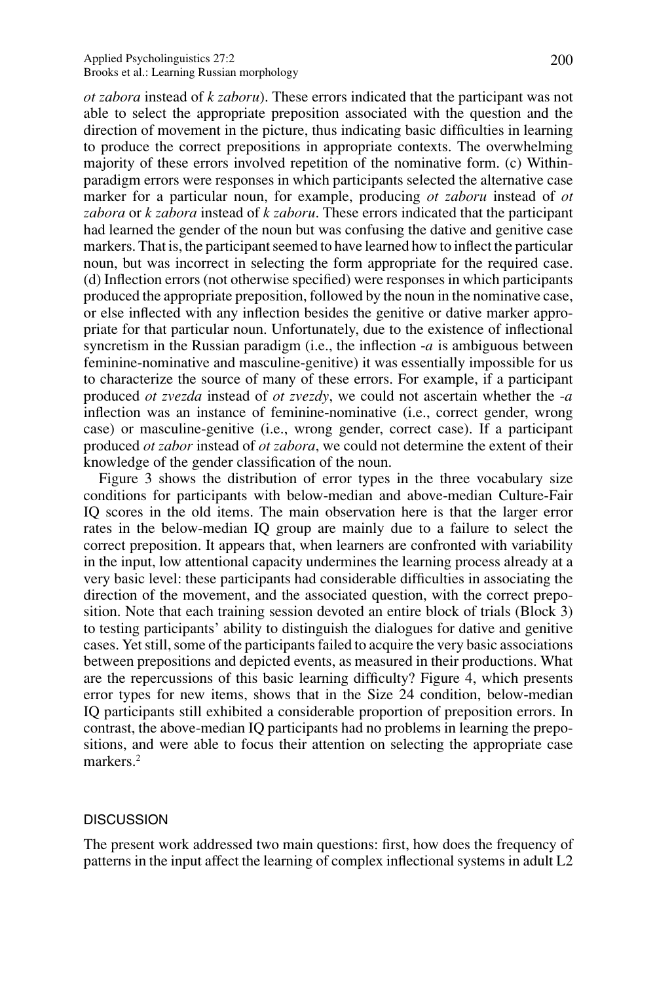#### Applied Psycholinguistics 27:2 200 Brooks et al.: Learning Russian morphology

*ot zabora* instead of *k zaboru*). These errors indicated that the participant was not able to select the appropriate preposition associated with the question and the direction of movement in the picture, thus indicating basic difficulties in learning to produce the correct prepositions in appropriate contexts. The overwhelming majority of these errors involved repetition of the nominative form. (c) Withinparadigm errors were responses in which participants selected the alternative case marker for a particular noun, for example, producing *ot zaboru* instead of *ot zabora* or *k zabora* instead of *k zaboru*. These errors indicated that the participant had learned the gender of the noun but was confusing the dative and genitive case markers. That is, the participant seemed to have learned how to inflect the particular noun, but was incorrect in selecting the form appropriate for the required case. (d) Inflection errors (not otherwise specified) were responses in which participants produced the appropriate preposition, followed by the noun in the nominative case, or else inflected with any inflection besides the genitive or dative marker appropriate for that particular noun. Unfortunately, due to the existence of inflectional syncretism in the Russian paradigm (i.e., the inflection -*a* is ambiguous between feminine-nominative and masculine-genitive) it was essentially impossible for us to characterize the source of many of these errors. For example, if a participant produced *ot zvezda* instead of *ot zvezdy*, we could not ascertain whether the -*a* inflection was an instance of feminine-nominative (i.e., correct gender, wrong case) or masculine-genitive (i.e., wrong gender, correct case). If a participant produced *ot zabor* instead of *ot zabora*, we could not determine the extent of their knowledge of the gender classification of the noun.

Figure 3 shows the distribution of error types in the three vocabulary size conditions for participants with below-median and above-median Culture-Fair IQ scores in the old items. The main observation here is that the larger error rates in the below-median IQ group are mainly due to a failure to select the correct preposition. It appears that, when learners are confronted with variability in the input, low attentional capacity undermines the learning process already at a very basic level: these participants had considerable difficulties in associating the direction of the movement, and the associated question, with the correct preposition. Note that each training session devoted an entire block of trials (Block 3) to testing participants' ability to distinguish the dialogues for dative and genitive cases. Yet still, some of the participants failed to acquire the very basic associations between prepositions and depicted events, as measured in their productions. What are the repercussions of this basic learning difficulty? Figure 4, which presents error types for new items, shows that in the Size 24 condition, below-median IQ participants still exhibited a considerable proportion of preposition errors. In contrast, the above-median IQ participants had no problems in learning the prepositions, and were able to focus their attention on selecting the appropriate case markers.<sup>2</sup>

#### **DISCUSSION**

The present work addressed two main questions: first, how does the frequency of patterns in the input affect the learning of complex inflectional systems in adult L2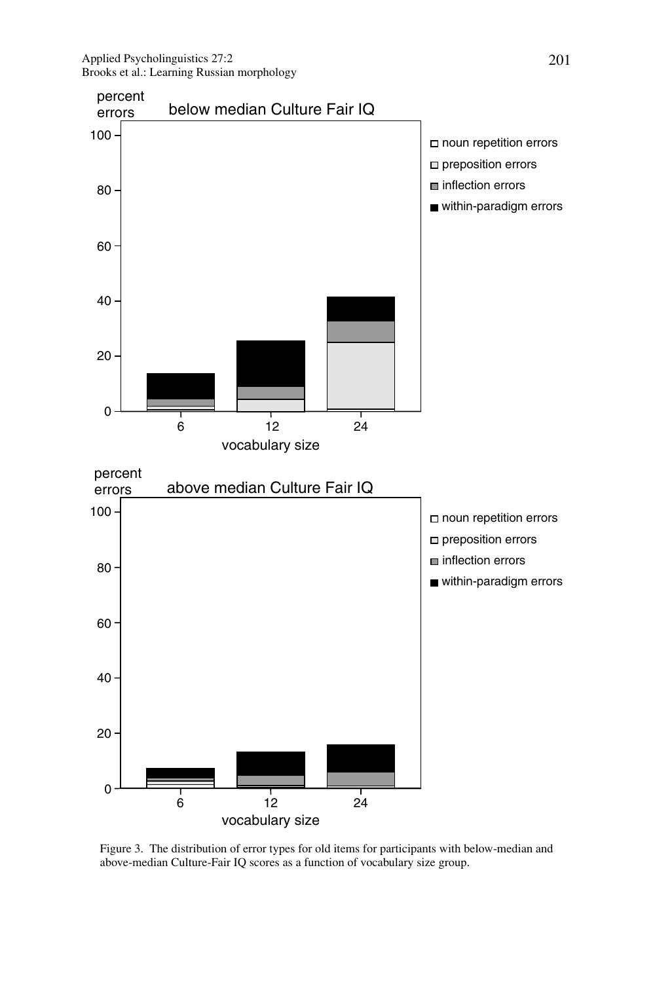

Figure 3. The distribution of error types for old items for participants with below-median and above-median Culture-Fair IQ scores as a function of vocabulary size group.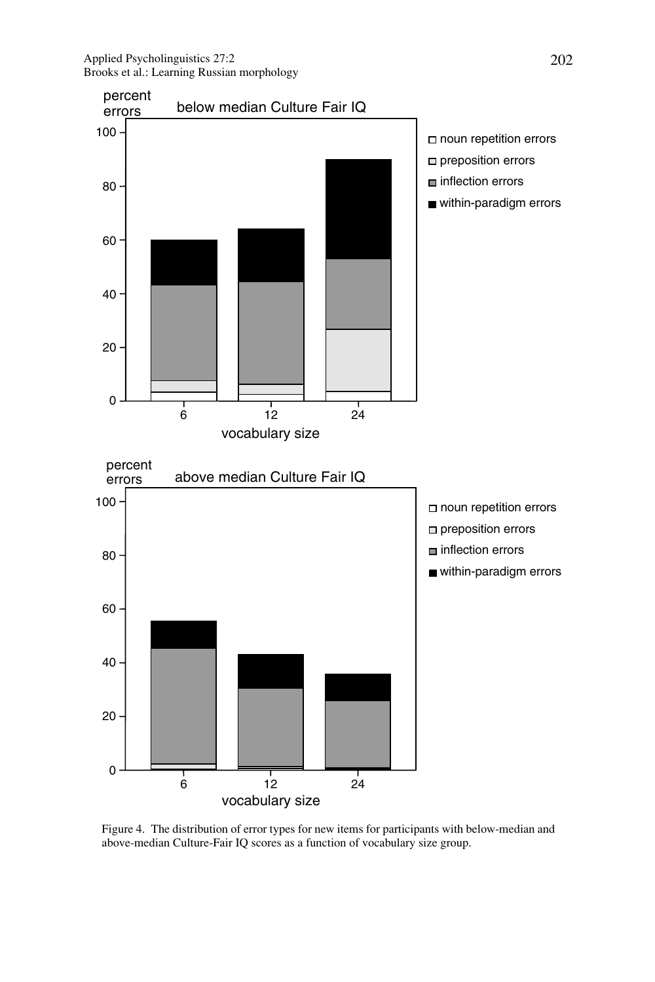Applied Psycholinguistics 27:2 202 Brooks et al.: Learning Russian morphology



Figure 4. The distribution of error types for new items for participants with below-median and above-median Culture-Fair IQ scores as a function of vocabulary size group.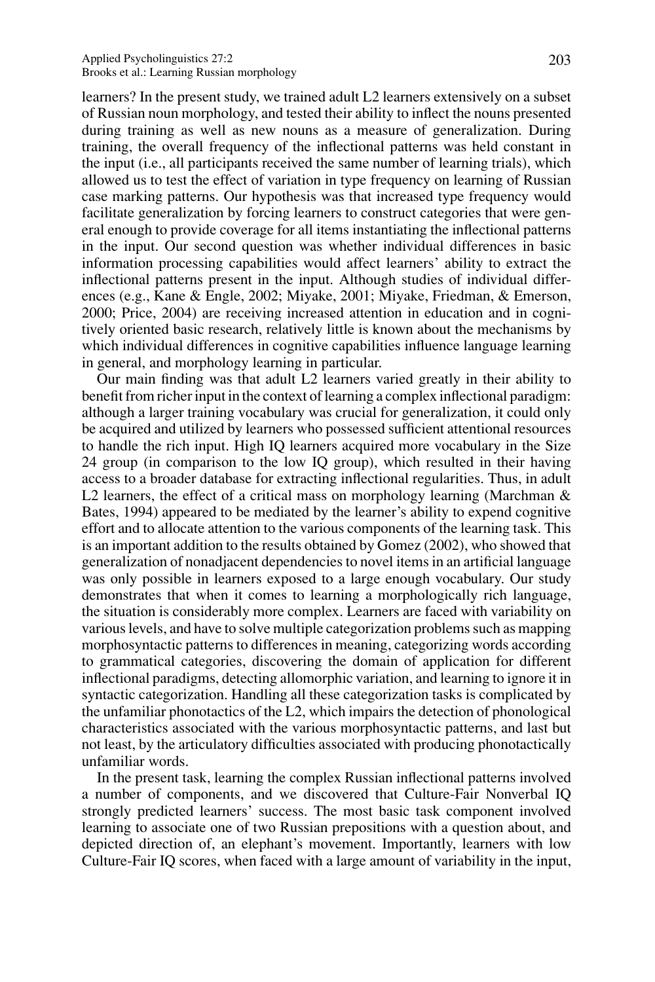learners? In the present study, we trained adult L2 learners extensively on a subset of Russian noun morphology, and tested their ability to inflect the nouns presented during training as well as new nouns as a measure of generalization. During training, the overall frequency of the inflectional patterns was held constant in the input (i.e., all participants received the same number of learning trials), which allowed us to test the effect of variation in type frequency on learning of Russian case marking patterns. Our hypothesis was that increased type frequency would facilitate generalization by forcing learners to construct categories that were general enough to provide coverage for all items instantiating the inflectional patterns in the input. Our second question was whether individual differences in basic information processing capabilities would affect learners' ability to extract the inflectional patterns present in the input. Although studies of individual differences (e.g., Kane & Engle, 2002; Miyake, 2001; Miyake, Friedman, & Emerson, 2000; Price, 2004) are receiving increased attention in education and in cognitively oriented basic research, relatively little is known about the mechanisms by which individual differences in cognitive capabilities influence language learning in general, and morphology learning in particular.

Our main finding was that adult L2 learners varied greatly in their ability to benefit from richer input in the context of learning a complex inflectional paradigm: although a larger training vocabulary was crucial for generalization, it could only be acquired and utilized by learners who possessed sufficient attentional resources to handle the rich input. High IQ learners acquired more vocabulary in the Size 24 group (in comparison to the low IQ group), which resulted in their having access to a broader database for extracting inflectional regularities. Thus, in adult L2 learners, the effect of a critical mass on morphology learning (Marchman & Bates, 1994) appeared to be mediated by the learner's ability to expend cognitive effort and to allocate attention to the various components of the learning task. This is an important addition to the results obtained by Gomez (2002), who showed that generalization of nonadjacent dependencies to novel items in an artificial language was only possible in learners exposed to a large enough vocabulary. Our study demonstrates that when it comes to learning a morphologically rich language, the situation is considerably more complex. Learners are faced with variability on various levels, and have to solve multiple categorization problems such as mapping morphosyntactic patterns to differences in meaning, categorizing words according to grammatical categories, discovering the domain of application for different inflectional paradigms, detecting allomorphic variation, and learning to ignore it in syntactic categorization. Handling all these categorization tasks is complicated by the unfamiliar phonotactics of the L2, which impairs the detection of phonological characteristics associated with the various morphosyntactic patterns, and last but not least, by the articulatory difficulties associated with producing phonotactically unfamiliar words.

In the present task, learning the complex Russian inflectional patterns involved a number of components, and we discovered that Culture-Fair Nonverbal IQ strongly predicted learners' success. The most basic task component involved learning to associate one of two Russian prepositions with a question about, and depicted direction of, an elephant's movement. Importantly, learners with low Culture-Fair IQ scores, when faced with a large amount of variability in the input,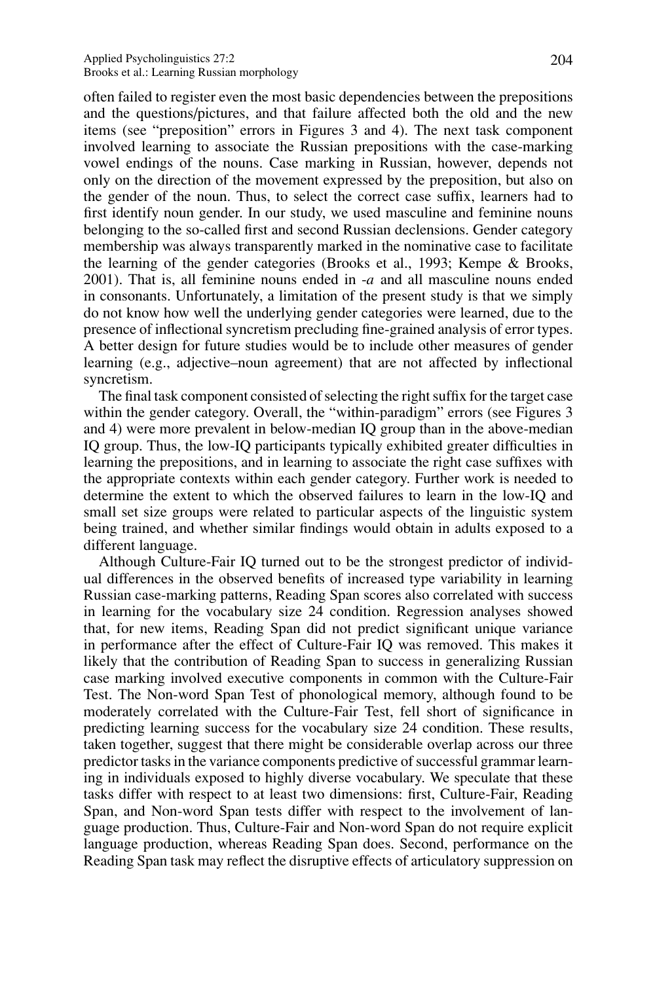often failed to register even the most basic dependencies between the prepositions and the questions/pictures, and that failure affected both the old and the new items (see "preposition" errors in Figures 3 and 4). The next task component involved learning to associate the Russian prepositions with the case-marking vowel endings of the nouns. Case marking in Russian, however, depends not only on the direction of the movement expressed by the preposition, but also on the gender of the noun. Thus, to select the correct case suffix, learners had to first identify noun gender. In our study, we used masculine and feminine nouns belonging to the so-called first and second Russian declensions. Gender category membership was always transparently marked in the nominative case to facilitate the learning of the gender categories (Brooks et al., 1993; Kempe & Brooks, 2001). That is, all feminine nouns ended in -*a* and all masculine nouns ended in consonants. Unfortunately, a limitation of the present study is that we simply do not know how well the underlying gender categories were learned, due to the presence of inflectional syncretism precluding fine-grained analysis of error types. A better design for future studies would be to include other measures of gender learning (e.g., adjective–noun agreement) that are not affected by inflectional syncretism.

The final task component consisted of selecting the right suffix for the target case within the gender category. Overall, the "within-paradigm" errors (see Figures 3 and 4) were more prevalent in below-median IQ group than in the above-median IQ group. Thus, the low-IQ participants typically exhibited greater difficulties in learning the prepositions, and in learning to associate the right case suffixes with the appropriate contexts within each gender category. Further work is needed to determine the extent to which the observed failures to learn in the low-IQ and small set size groups were related to particular aspects of the linguistic system being trained, and whether similar findings would obtain in adults exposed to a different language.

Although Culture-Fair IQ turned out to be the strongest predictor of individual differences in the observed benefits of increased type variability in learning Russian case-marking patterns, Reading Span scores also correlated with success in learning for the vocabulary size 24 condition. Regression analyses showed that, for new items, Reading Span did not predict significant unique variance in performance after the effect of Culture-Fair IQ was removed. This makes it likely that the contribution of Reading Span to success in generalizing Russian case marking involved executive components in common with the Culture-Fair Test. The Non-word Span Test of phonological memory, although found to be moderately correlated with the Culture-Fair Test, fell short of significance in predicting learning success for the vocabulary size 24 condition. These results, taken together, suggest that there might be considerable overlap across our three predictor tasks in the variance components predictive of successful grammar learning in individuals exposed to highly diverse vocabulary. We speculate that these tasks differ with respect to at least two dimensions: first, Culture-Fair, Reading Span, and Non-word Span tests differ with respect to the involvement of language production. Thus, Culture-Fair and Non-word Span do not require explicit language production, whereas Reading Span does. Second, performance on the Reading Span task may reflect the disruptive effects of articulatory suppression on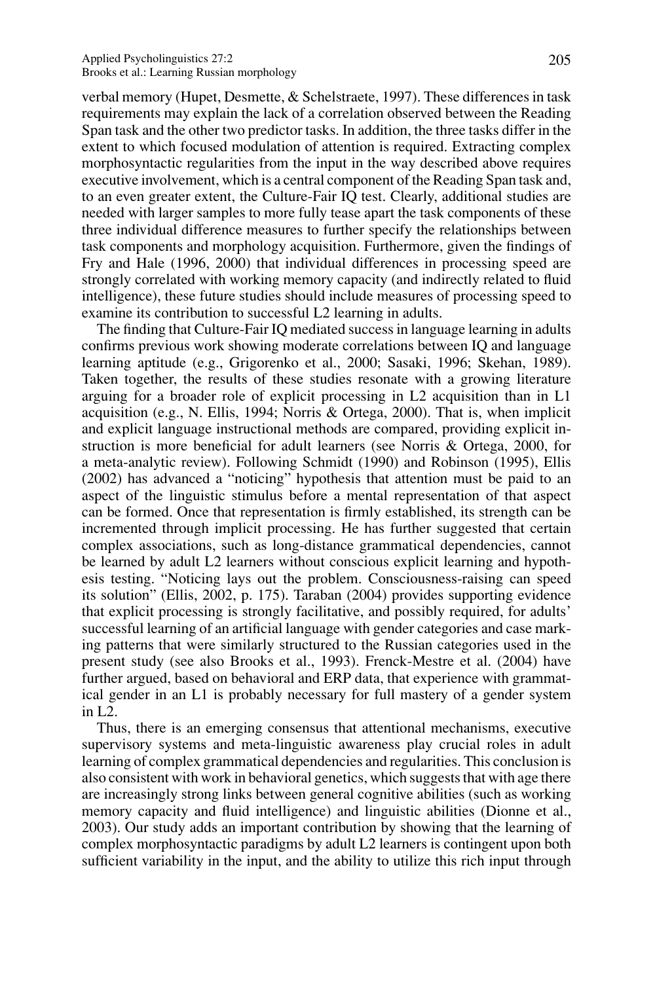#### Applied Psycholinguistics 27:2 205 Brooks et al.: Learning Russian morphology

verbal memory (Hupet, Desmette, & Schelstraete, 1997). These differences in task requirements may explain the lack of a correlation observed between the Reading Span task and the other two predictor tasks. In addition, the three tasks differ in the extent to which focused modulation of attention is required. Extracting complex morphosyntactic regularities from the input in the way described above requires executive involvement, which is a central component of the Reading Span task and, to an even greater extent, the Culture-Fair IQ test. Clearly, additional studies are needed with larger samples to more fully tease apart the task components of these three individual difference measures to further specify the relationships between task components and morphology acquisition. Furthermore, given the findings of Fry and Hale (1996, 2000) that individual differences in processing speed are strongly correlated with working memory capacity (and indirectly related to fluid intelligence), these future studies should include measures of processing speed to examine its contribution to successful L2 learning in adults.

The finding that Culture-Fair IQ mediated success in language learning in adults confirms previous work showing moderate correlations between IQ and language learning aptitude (e.g., Grigorenko et al., 2000; Sasaki, 1996; Skehan, 1989). Taken together, the results of these studies resonate with a growing literature arguing for a broader role of explicit processing in L2 acquisition than in L1 acquisition (e.g., N. Ellis, 1994; Norris & Ortega, 2000). That is, when implicit and explicit language instructional methods are compared, providing explicit instruction is more beneficial for adult learners (see Norris & Ortega, 2000, for a meta-analytic review). Following Schmidt (1990) and Robinson (1995), Ellis (2002) has advanced a "noticing" hypothesis that attention must be paid to an aspect of the linguistic stimulus before a mental representation of that aspect can be formed. Once that representation is firmly established, its strength can be incremented through implicit processing. He has further suggested that certain complex associations, such as long-distance grammatical dependencies, cannot be learned by adult L2 learners without conscious explicit learning and hypothesis testing. "Noticing lays out the problem. Consciousness-raising can speed its solution" (Ellis, 2002, p. 175). Taraban (2004) provides supporting evidence that explicit processing is strongly facilitative, and possibly required, for adults' successful learning of an artificial language with gender categories and case marking patterns that were similarly structured to the Russian categories used in the present study (see also Brooks et al., 1993). Frenck-Mestre et al. (2004) have further argued, based on behavioral and ERP data, that experience with grammatical gender in an L1 is probably necessary for full mastery of a gender system in L2.

Thus, there is an emerging consensus that attentional mechanisms, executive supervisory systems and meta-linguistic awareness play crucial roles in adult learning of complex grammatical dependencies and regularities. This conclusion is also consistent with work in behavioral genetics, which suggests that with age there are increasingly strong links between general cognitive abilities (such as working memory capacity and fluid intelligence) and linguistic abilities (Dionne et al., 2003). Our study adds an important contribution by showing that the learning of complex morphosyntactic paradigms by adult L2 learners is contingent upon both sufficient variability in the input, and the ability to utilize this rich input through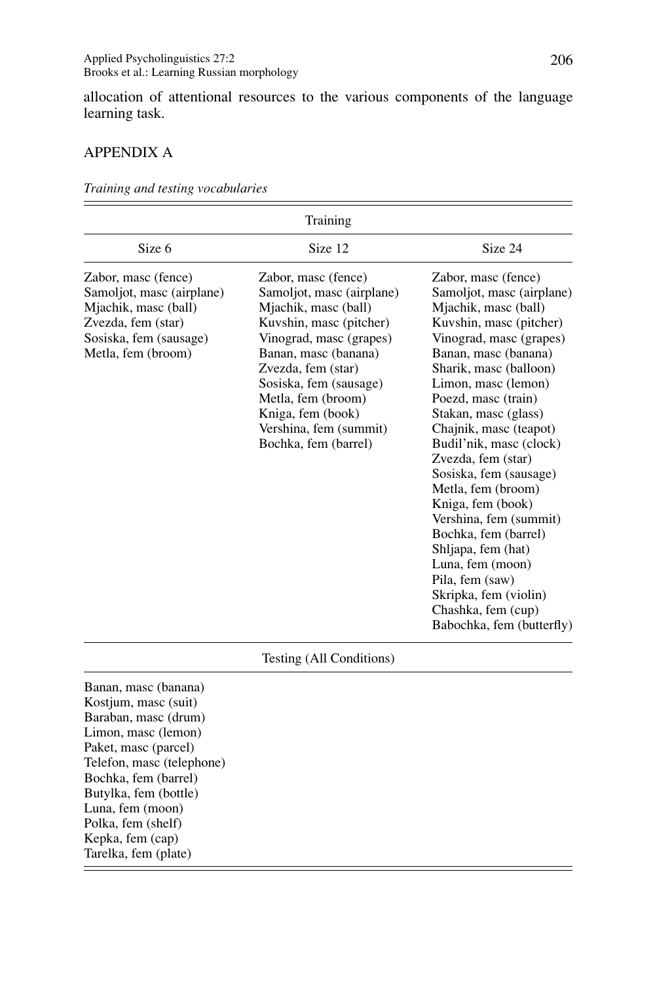allocation of attentional resources to the various components of the language learning task.

# APPENDIX A

Bochka, fem (barrel) Butylka, fem (bottle) Luna, fem (moon) Polka, fem (shelf) Kepka, fem (cap) Tarelka, fem (plate)

|                                                                                                                                                  | Training                                                                                                                                                                                                                                                                                            |                                                                                                                                                                                                                                                                                                                                                                                                                                                                                                                                                                                                   |
|--------------------------------------------------------------------------------------------------------------------------------------------------|-----------------------------------------------------------------------------------------------------------------------------------------------------------------------------------------------------------------------------------------------------------------------------------------------------|---------------------------------------------------------------------------------------------------------------------------------------------------------------------------------------------------------------------------------------------------------------------------------------------------------------------------------------------------------------------------------------------------------------------------------------------------------------------------------------------------------------------------------------------------------------------------------------------------|
| Size 6                                                                                                                                           | Size 12                                                                                                                                                                                                                                                                                             | Size 24                                                                                                                                                                                                                                                                                                                                                                                                                                                                                                                                                                                           |
| Zabor, masc (fence)<br>Samoljot, masc (airplane)<br>Mjachik, masc (ball)<br>Zvezda, fem (star)<br>Sosiska, fem (sausage)<br>Metla, fem (broom)   | Zabor, masc (fence)<br>Samoljot, masc (airplane)<br>Mjachik, masc (ball)<br>Kuvshin, masc (pitcher)<br>Vinograd, masc (grapes)<br>Banan, masc (banana)<br>Zvezda, fem (star)<br>Sosiska, fem (sausage)<br>Metla, fem (broom)<br>Kniga, fem (book)<br>Vershina, fem (summit)<br>Bochka, fem (barrel) | Zabor, masc (fence)<br>Samoljot, masc (airplane)<br>Mjachik, masc (ball)<br>Kuvshin, masc (pitcher)<br>Vinograd, masc (grapes)<br>Banan, masc (banana)<br>Sharik, masc (balloon)<br>Limon, masc (lemon)<br>Poezd, masc (train)<br>Stakan, masc (glass)<br>Chajnik, masc (teapot)<br>Budil'nik, masc (clock)<br>Zvezda, fem (star)<br>Sosiska, fem (sausage)<br>Metla, fem (broom)<br>Kniga, fem (book)<br>Vershina, fem (summit)<br>Bochka, fem (barrel)<br>Shljapa, fem (hat)<br>Luna, fem (moon)<br>Pila, fem (saw)<br>Skripka, fem (violin)<br>Chashka, fem (cup)<br>Babochka, fem (butterfly) |
|                                                                                                                                                  | Testing (All Conditions)                                                                                                                                                                                                                                                                            |                                                                                                                                                                                                                                                                                                                                                                                                                                                                                                                                                                                                   |
| Banan, masc (banana)<br>Kostjum, masc (suit)<br>Baraban, masc (drum)<br>Limon, masc (lemon)<br>Paket, masc (parcel)<br>Telefon, masc (telephone) |                                                                                                                                                                                                                                                                                                     |                                                                                                                                                                                                                                                                                                                                                                                                                                                                                                                                                                                                   |

*Training and testing vocabularies*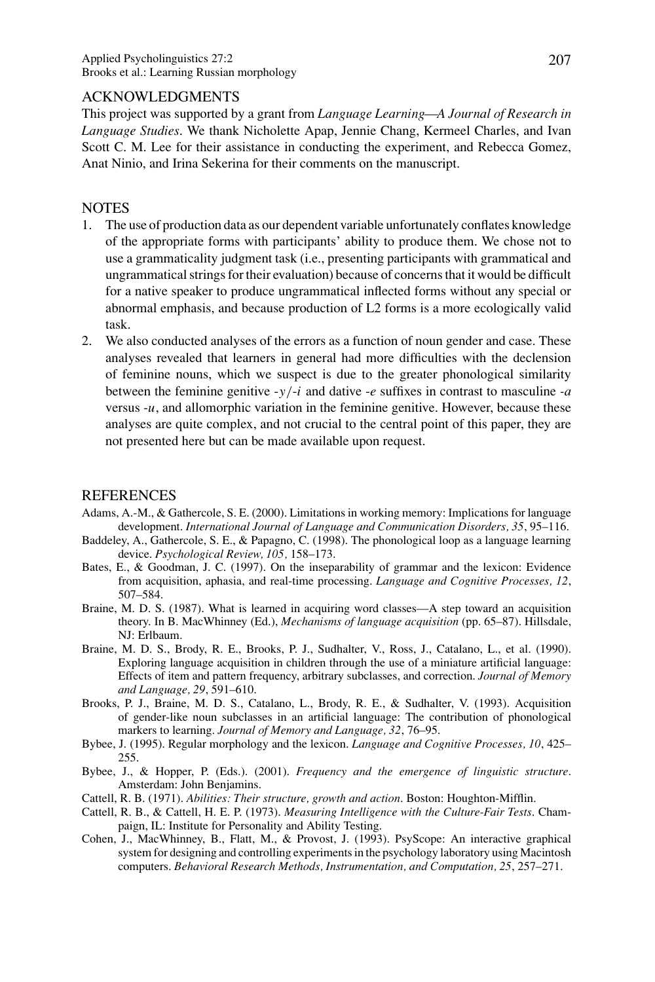# ACKNOWLEDGMENTS

This project was supported by a grant from *Language Learning—A Journal of Research in Language Studies*. We thank Nicholette Apap, Jennie Chang, Kermeel Charles, and Ivan Scott C. M. Lee for their assistance in conducting the experiment, and Rebecca Gomez, Anat Ninio, and Irina Sekerina for their comments on the manuscript.

# **NOTES**

- 1. The use of production data as our dependent variable unfortunately conflates knowledge of the appropriate forms with participants' ability to produce them. We chose not to use a grammaticality judgment task (i.e., presenting participants with grammatical and ungrammatical strings for their evaluation) because of concerns that it would be difficult for a native speaker to produce ungrammatical inflected forms without any special or abnormal emphasis, and because production of L2 forms is a more ecologically valid task.
- 2. We also conducted analyses of the errors as a function of noun gender and case. These analyses revealed that learners in general had more difficulties with the declension of feminine nouns, which we suspect is due to the greater phonological similarity between the feminine genitive  $-y/-i$  and dative  $-e$  suffixes in contrast to masculine  $-a$ versus -*u*, and allomorphic variation in the feminine genitive. However, because these analyses are quite complex, and not crucial to the central point of this paper, they are not presented here but can be made available upon request.

# **REFERENCES**

- Adams, A.-M., & Gathercole, S. E. (2000). Limitations in working memory: Implications for language development. *International Journal of Language and Communication Disorders, 35*, 95–116.
- Baddeley, A., Gathercole, S. E., & Papagno, C. (1998). The phonological loop as a language learning device. *Psychological Review, 105,* 158–173.
- Bates, E., & Goodman, J. C. (1997). On the inseparability of grammar and the lexicon: Evidence from acquisition, aphasia, and real-time processing. *Language and Cognitive Processes, 12*, 507–584.
- Braine, M. D. S. (1987). What is learned in acquiring word classes—A step toward an acquisition theory. In B. MacWhinney (Ed.), *Mechanisms of language acquisition* (pp. 65–87). Hillsdale, NJ: Erlbaum.
- Braine, M. D. S., Brody, R. E., Brooks, P. J., Sudhalter, V., Ross, J., Catalano, L., et al. (1990). Exploring language acquisition in children through the use of a miniature artificial language: Effects of item and pattern frequency, arbitrary subclasses, and correction. *Journal of Memory and Language, 29*, 591–610.
- Brooks, P. J., Braine, M. D. S., Catalano, L., Brody, R. E., & Sudhalter, V. (1993). Acquisition of gender-like noun subclasses in an artificial language: The contribution of phonological markers to learning. *Journal of Memory and Language, 32*, 76–95.
- Bybee, J. (1995). Regular morphology and the lexicon. *Language and Cognitive Processes, 10*, 425– 255.
- Bybee, J., & Hopper, P. (Eds.). (2001). *Frequency and the emergence of linguistic structure*. Amsterdam: John Benjamins.
- Cattell, R. B. (1971). *Abilities: Their structure, growth and action*. Boston: Houghton-Mifflin.
- Cattell, R. B., & Cattell, H. E. P. (1973). *Measuring Intelligence with the Culture-Fair Tests*. Champaign, IL: Institute for Personality and Ability Testing.
- Cohen, J., MacWhinney, B., Flatt, M., & Provost, J. (1993). PsyScope: An interactive graphical system for designing and controlling experiments in the psychology laboratory using Macintosh computers. *Behavioral Research Methods, Instrumentation, and Computation, 25*, 257–271.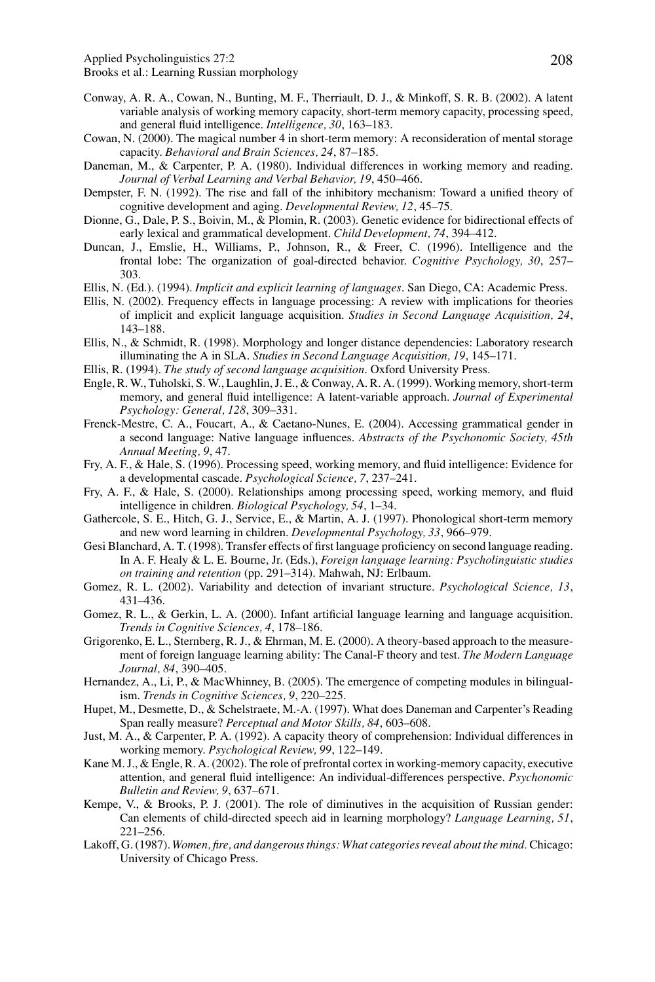Applied Psycholinguistics 27:2 208

Brooks et al.: Learning Russian morphology

- Conway, A. R. A., Cowan, N., Bunting, M. F., Therriault, D. J., & Minkoff, S. R. B. (2002). A latent variable analysis of working memory capacity, short-term memory capacity, processing speed, and general fluid intelligence. *Intelligence, 30*, 163–183.
- Cowan, N. (2000). The magical number 4 in short-term memory: A reconsideration of mental storage capacity. *Behavioral and Brain Sciences, 24*, 87–185.
- Daneman, M., & Carpenter, P. A. (1980). Individual differences in working memory and reading. *Journal of Verbal Learning and Verbal Behavior, 19*, 450–466.
- Dempster, F. N. (1992). The rise and fall of the inhibitory mechanism: Toward a unified theory of cognitive development and aging. *Developmental Review, 12*, 45–75.
- Dionne, G., Dale, P. S., Boivin, M., & Plomin, R. (2003). Genetic evidence for bidirectional effects of early lexical and grammatical development. *Child Development, 74*, 394–412.
- Duncan, J., Emslie, H., Williams, P., Johnson, R., & Freer, C. (1996). Intelligence and the frontal lobe: The organization of goal-directed behavior. *Cognitive Psychology, 30*, 257– 303.
- Ellis, N. (Ed.). (1994). *Implicit and explicit learning of languages*. San Diego, CA: Academic Press.
- Ellis, N. (2002). Frequency effects in language processing: A review with implications for theories of implicit and explicit language acquisition. *Studies in Second Language Acquisition, 24*, 143–188.
- Ellis, N., & Schmidt, R. (1998). Morphology and longer distance dependencies: Laboratory research illuminating the A in SLA. *Studies in Second Language Acquisition, 19*, 145–171.
- Ellis, R. (1994). *The study of second language acquisition*. Oxford University Press.
- Engle, R. W., Tuholski, S. W., Laughlin, J. E., & Conway, A. R. A. (1999). Working memory, short-term memory, and general fluid intelligence: A latent-variable approach. *Journal of Experimental Psychology: General, 128*, 309–331.
- Frenck-Mestre, C. A., Foucart, A., & Caetano-Nunes, E. (2004). Accessing grammatical gender in a second language: Native language influences. *Abstracts of the Psychonomic Society, 45th Annual Meeting, 9*, 47.
- Fry, A. F., & Hale, S. (1996). Processing speed, working memory, and fluid intelligence: Evidence for a developmental cascade. *Psychological Science, 7*, 237–241.
- Fry, A. F., & Hale, S. (2000). Relationships among processing speed, working memory, and fluid intelligence in children. *Biological Psychology, 54*, 1–34.
- Gathercole, S. E., Hitch, G. J., Service, E., & Martin, A. J. (1997). Phonological short-term memory and new word learning in children. *Developmental Psychology, 33*, 966–979.
- Gesi Blanchard, A. T. (1998). Transfer effects of first language proficiency on second language reading. In A. F. Healy & L. E. Bourne, Jr. (Eds.), *Foreign language learning: Psycholinguistic studies on training and retention* (pp. 291–314). Mahwah, NJ: Erlbaum.
- Gomez, R. L. (2002). Variability and detection of invariant structure. *Psychological Science, 13*, 431–436.
- Gomez, R. L., & Gerkin, L. A. (2000). Infant artificial language learning and language acquisition. *Trends in Cognitive Sciences, 4*, 178–186.
- Grigorenko, E. L., Sternberg, R. J., & Ehrman, M. E. (2000). A theory-based approach to the measurement of foreign language learning ability: The Canal-F theory and test. *The Modern Language Journal, 84*, 390–405.
- Hernandez, A., Li, P., & MacWhinney, B. (2005). The emergence of competing modules in bilingualism. *Trends in Cognitive Sciences, 9*, 220–225.
- Hupet, M., Desmette, D., & Schelstraete, M.-A. (1997). What does Daneman and Carpenter's Reading Span really measure? *Perceptual and Motor Skills, 84*, 603–608.
- Just, M. A., & Carpenter, P. A. (1992). A capacity theory of comprehension: Individual differences in working memory. *Psychological Review, 99*, 122–149.
- Kane M. J., & Engle, R. A. (2002). The role of prefrontal cortex in working-memory capacity, executive attention, and general fluid intelligence: An individual-differences perspective. *Psychonomic Bulletin and Review, 9*, 637–671.
- Kempe, V., & Brooks, P. J. (2001). The role of diminutives in the acquisition of Russian gender: Can elements of child-directed speech aid in learning morphology? *Language Learning, 51*, 221–256.
- Lakoff, G. (1987). *Women, fire, and dangerous things: What categories reveal about the mind.* Chicago: University of Chicago Press.